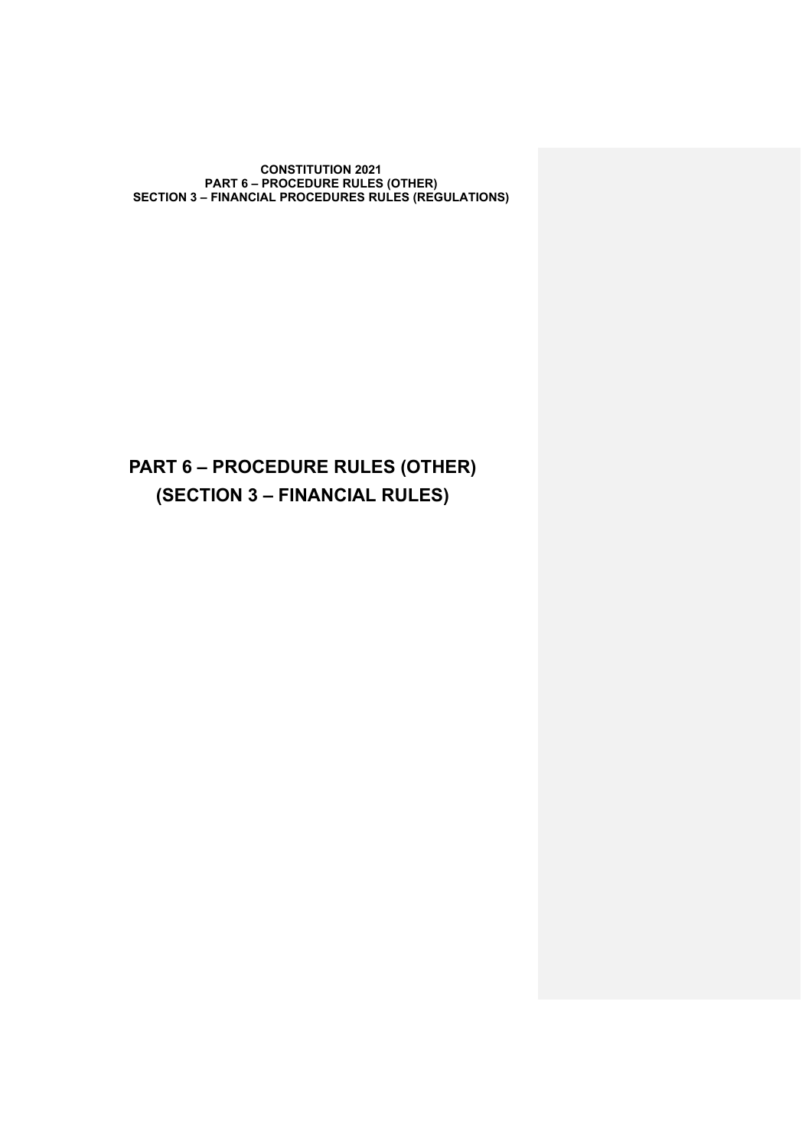# **PART 6 – PROCEDURE RULES (OTHER) (SECTION 3 – FINANCIAL RULES)**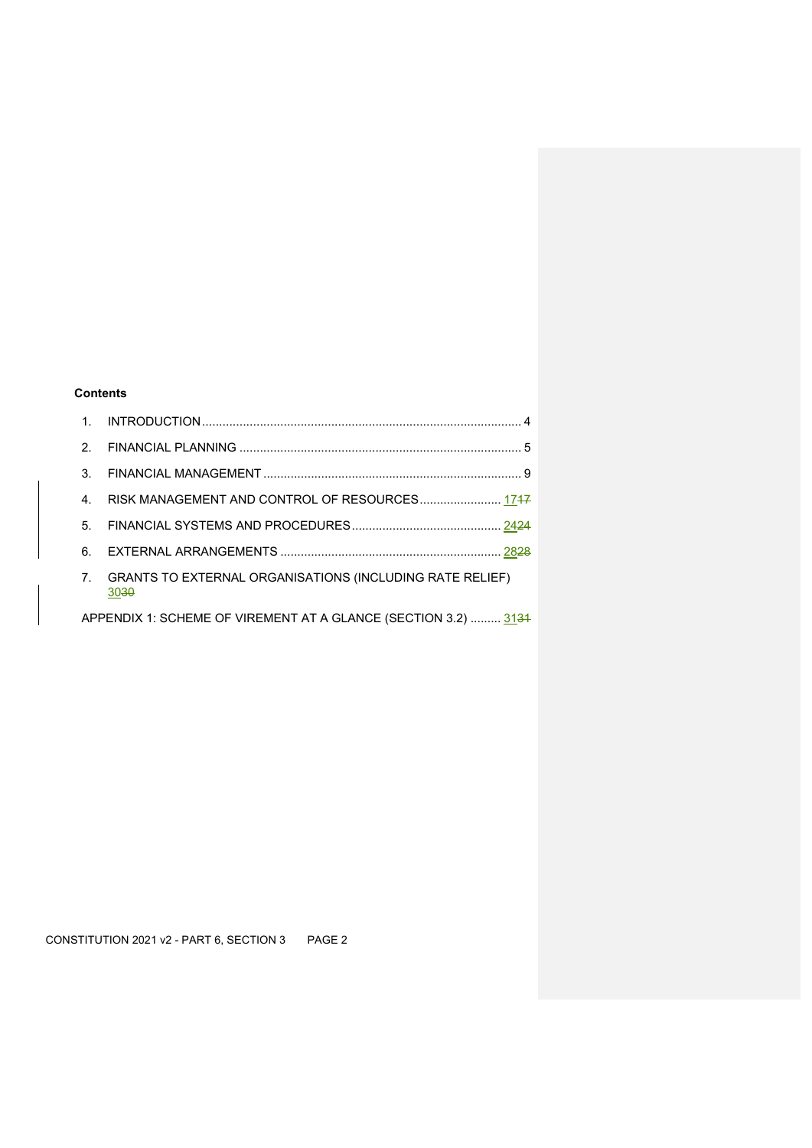### **Contents**

| 3 <sub>1</sub>                                                 |                                                                                 |  |  |  |  |  |
|----------------------------------------------------------------|---------------------------------------------------------------------------------|--|--|--|--|--|
| 4 <sup>1</sup>                                                 | RISK MANAGEMENT AND CONTROL OF RESOURCES 1747                                   |  |  |  |  |  |
| 5 <sub>1</sub>                                                 |                                                                                 |  |  |  |  |  |
| 6.                                                             |                                                                                 |  |  |  |  |  |
|                                                                | 7. GRANTS TO EXTERNAL ORGANISATIONS (INCLUDING RATE RELIEF)<br>30 <sup>30</sup> |  |  |  |  |  |
| APPENDIX 1: SCHEME OF VIREMENT AT A GLANCE (SECTION 3.2)  3134 |                                                                                 |  |  |  |  |  |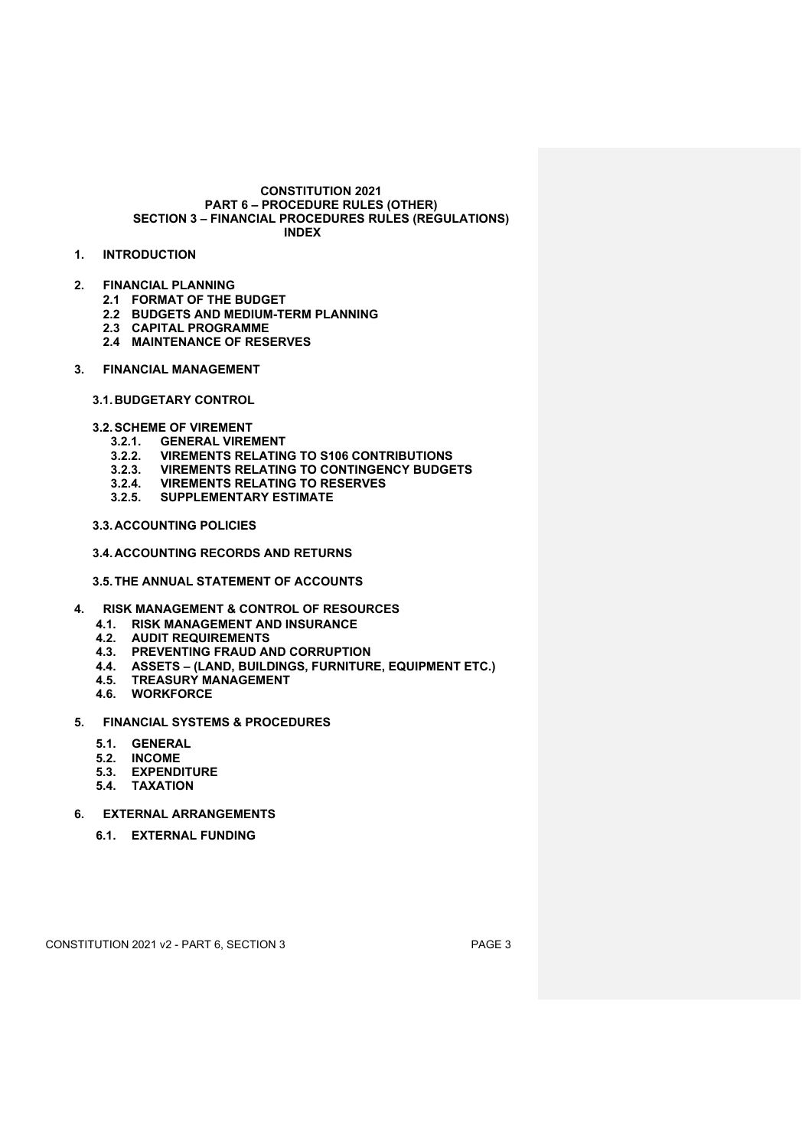### **1. INTRODUCTION**

- **2. FINANCIAL PLANNING** 
	- **2.1 FORMAT OF THE BUDGET**
	- **2.2 BUDGETS AND MEDIUM-TERM PLANNING**
	- **2.3 CAPITAL PROGRAMME**
	- **2.4 MAINTENANCE OF RESERVES**
- **3. FINANCIAL MANAGEMENT** 
	- **3.1. BUDGETARY CONTROL**
	- **3.2. SCHEME OF VIREMENT** 
		- **3.2.1. GENERAL VIREMENT**
		- **3.2.2. VIREMENTS RELATING TO S106 CONTRIBUTIONS**
		- **3.2.3. VIREMENTS RELATING TO CONTINGENCY BUDGETS**
		- **3.2.4. VIREMENTS RELATING TO RESERVES**
		- **3.2.5. SUPPLEMENTARY ESTIMATE**
	- **3.3. ACCOUNTING POLICIES**
	- **3.4. ACCOUNTING RECORDS AND RETURNS**
	- **3.5. THE ANNUAL STATEMENT OF ACCOUNTS**
- **4. RISK MANAGEMENT & CONTROL OF RESOURCES** 
	- **4.1. RISK MANAGEMENT AND INSURANCE**
	- **4.2. AUDIT REQUIREMENTS**
	- **4.3. PREVENTING FRAUD AND CORRUPTION**
	- **4.4. ASSETS (LAND, BUILDINGS, FURNITURE, EQUIPMENT ETC.)**
	- **4.5. TREASURY MANAGEMENT**
	- **4.6. WORKFORCE**
- **5. FINANCIAL SYSTEMS & PROCEDURES** 
	- **5.1. GENERAL**
	- **5.2. INCOME**
	- **5.3. EXPENDITURE**
	- **5.4. TAXATION**
- **6. EXTERNAL ARRANGEMENTS** 
	- **6.1. EXTERNAL FUNDING**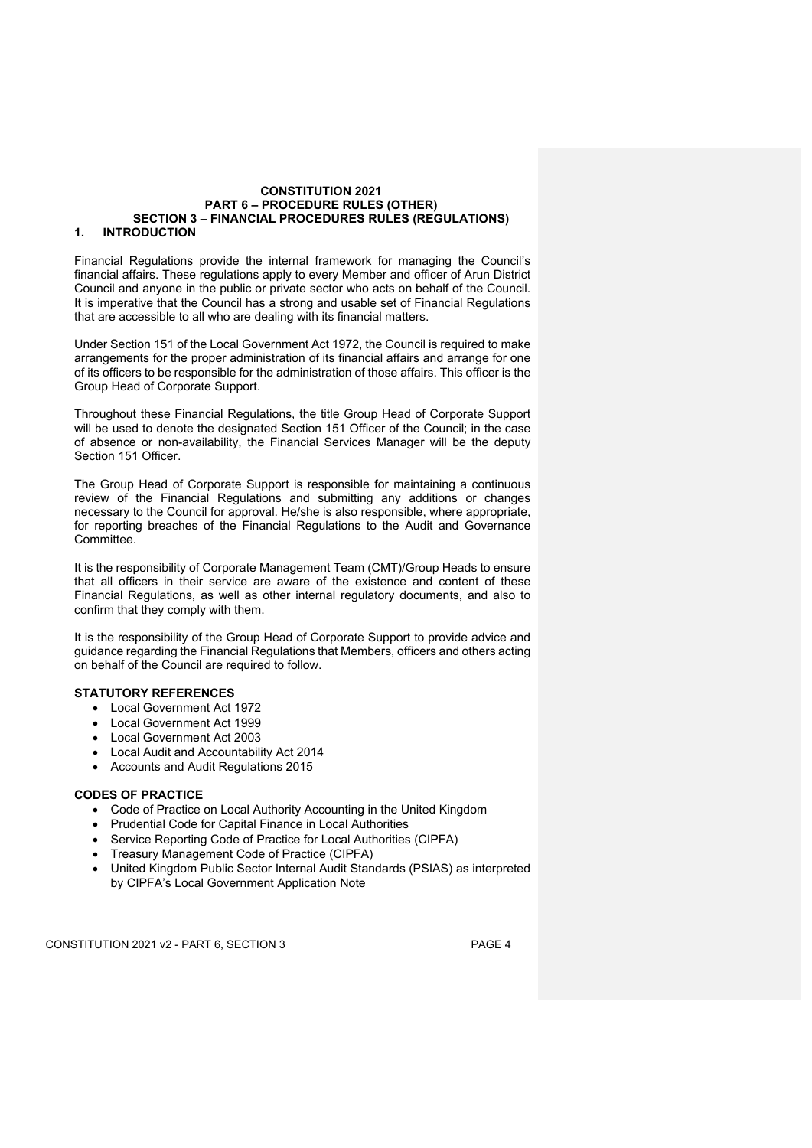Financial Regulations provide the internal framework for managing the Council's financial affairs. These regulations apply to every Member and officer of Arun District Council and anyone in the public or private sector who acts on behalf of the Council. It is imperative that the Council has a strong and usable set of Financial Regulations

that are accessible to all who are dealing with its financial matters.

Under Section 151 of the Local Government Act 1972, the Council is required to make arrangements for the proper administration of its financial affairs and arrange for one of its officers to be responsible for the administration of those affairs. This officer is the Group Head of Corporate Support.

Throughout these Financial Regulations, the title Group Head of Corporate Support will be used to denote the designated Section 151 Officer of the Council; in the case of absence or non-availability, the Financial Services Manager will be the deputy Section 151 Officer.

The Group Head of Corporate Support is responsible for maintaining a continuous review of the Financial Regulations and submitting any additions or changes necessary to the Council for approval. He/she is also responsible, where appropriate, for reporting breaches of the Financial Regulations to the Audit and Governance Committee.

It is the responsibility of Corporate Management Team (CMT)/Group Heads to ensure that all officers in their service are aware of the existence and content of these Financial Regulations, as well as other internal regulatory documents, and also to confirm that they comply with them.

It is the responsibility of the Group Head of Corporate Support to provide advice and guidance regarding the Financial Regulations that Members, officers and others acting on behalf of the Council are required to follow.

### **STATUTORY REFERENCES**

- Local Government Act 1972
- Local Government Act 1999
- Local Government Act 2003
- Local Audit and Accountability Act 2014
- Accounts and Audit Regulations 2015

### **CODES OF PRACTICE**

- Code of Practice on Local Authority Accounting in the United Kingdom
- Prudential Code for Capital Finance in Local Authorities
- Service Reporting Code of Practice for Local Authorities (CIPFA)
- Treasury Management Code of Practice (CIPFA)
- United Kingdom Public Sector Internal Audit Standards (PSIAS) as interpreted by CIPFA's Local Government Application Note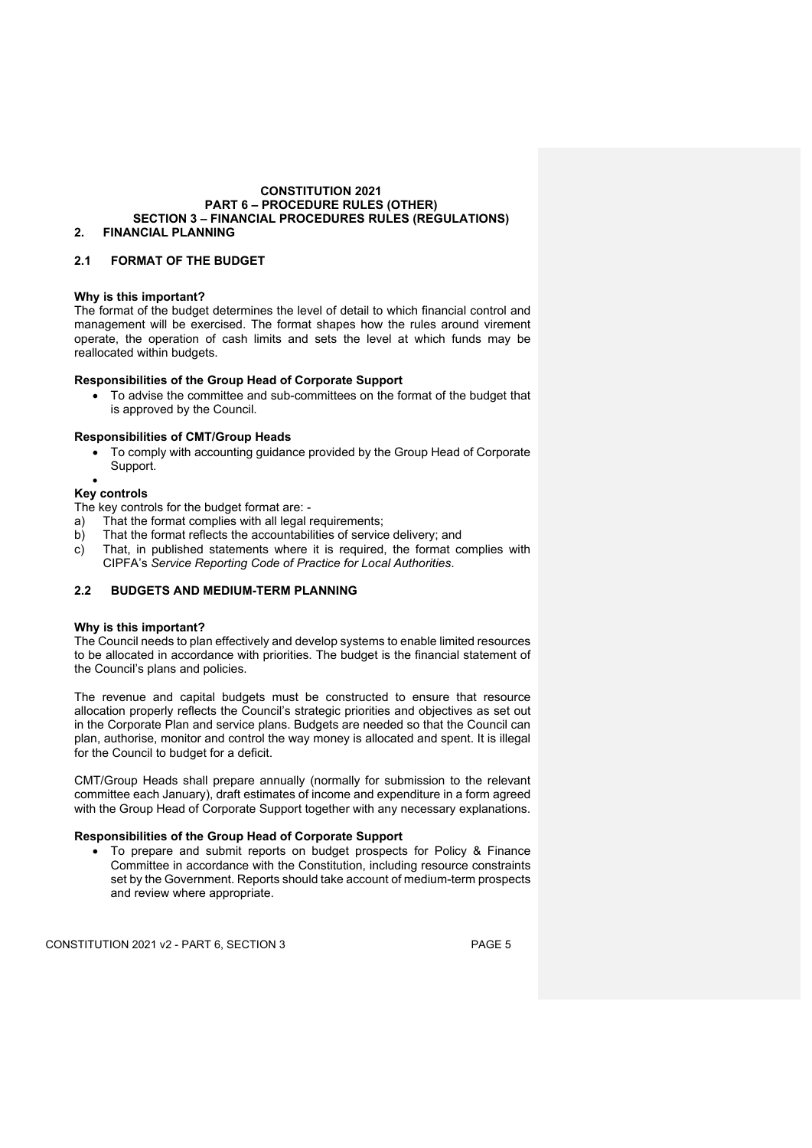# **2.1 FORMAT OF THE BUDGET**

#### **Why is this important?**

The format of the budget determines the level of detail to which financial control and management will be exercised. The format shapes how the rules around virement operate, the operation of cash limits and sets the level at which funds may be reallocated within budgets.

### **Responsibilities of the Group Head of Corporate Support**

 To advise the committee and sub-committees on the format of the budget that is approved by the Council.

#### **Responsibilities of CMT/Group Heads**

 To comply with accounting guidance provided by the Group Head of Corporate Support.

#### $\bullet$ **Key controls**

The key controls for the budget format are: -

- a) That the format complies with all legal requirements;
- b) That the format reflects the accountabilities of service delivery; and
- c) That, in published statements where it is required, the format complies with CIPFA's *Service Reporting Code of Practice for Local Authorities*.

### **2.2 BUDGETS AND MEDIUM-TERM PLANNING**

#### **Why is this important?**

The Council needs to plan effectively and develop systems to enable limited resources to be allocated in accordance with priorities. The budget is the financial statement of the Council's plans and policies.

The revenue and capital budgets must be constructed to ensure that resource allocation properly reflects the Council's strategic priorities and objectives as set out in the Corporate Plan and service plans. Budgets are needed so that the Council can plan, authorise, monitor and control the way money is allocated and spent. It is illegal for the Council to budget for a deficit.

CMT/Group Heads shall prepare annually (normally for submission to the relevant committee each January), draft estimates of income and expenditure in a form agreed with the Group Head of Corporate Support together with any necessary explanations.

#### **Responsibilities of the Group Head of Corporate Support**

 To prepare and submit reports on budget prospects for Policy & Finance Committee in accordance with the Constitution, including resource constraints set by the Government. Reports should take account of medium-term prospects and review where appropriate.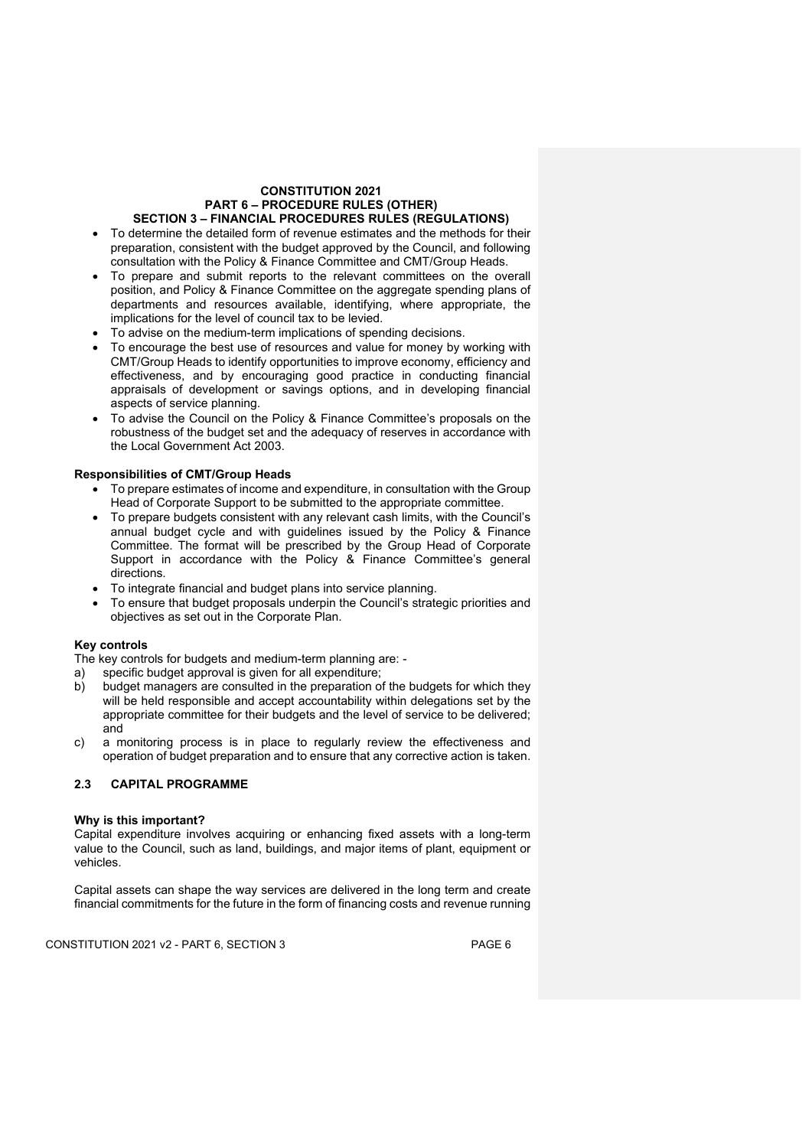- To determine the detailed form of revenue estimates and the methods for their preparation, consistent with the budget approved by the Council, and following consultation with the Policy & Finance Committee and CMT/Group Heads.
- To prepare and submit reports to the relevant committees on the overall position, and Policy & Finance Committee on the aggregate spending plans of departments and resources available, identifying, where appropriate, the implications for the level of council tax to be levied.
- To advise on the medium-term implications of spending decisions.
- To encourage the best use of resources and value for money by working with CMT/Group Heads to identify opportunities to improve economy, efficiency and effectiveness, and by encouraging good practice in conducting financial appraisals of development or savings options, and in developing financial aspects of service planning.
- To advise the Council on the Policy & Finance Committee's proposals on the robustness of the budget set and the adequacy of reserves in accordance with the Local Government Act 2003.

### **Responsibilities of CMT/Group Heads**

- To prepare estimates of income and expenditure, in consultation with the Group Head of Corporate Support to be submitted to the appropriate committee.
- To prepare budgets consistent with any relevant cash limits, with the Council's annual budget cycle and with guidelines issued by the Policy & Finance Committee. The format will be prescribed by the Group Head of Corporate Support in accordance with the Policy & Finance Committee's general directions.
- To integrate financial and budget plans into service planning.
- To ensure that budget proposals underpin the Council's strategic priorities and objectives as set out in the Corporate Plan.

### **Key controls**

The key controls for budgets and medium-term planning are: -

- a) specific budget approval is given for all expenditure;
- b) budget managers are consulted in the preparation of the budgets for which they will be held responsible and accept accountability within delegations set by the appropriate committee for their budgets and the level of service to be delivered; and
- c) a monitoring process is in place to regularly review the effectiveness and operation of budget preparation and to ensure that any corrective action is taken.

### **2.3 CAPITAL PROGRAMME**

#### **Why is this important?**

Capital expenditure involves acquiring or enhancing fixed assets with a long-term value to the Council, such as land, buildings, and major items of plant, equipment or vehicles.

Capital assets can shape the way services are delivered in the long term and create financial commitments for the future in the form of financing costs and revenue running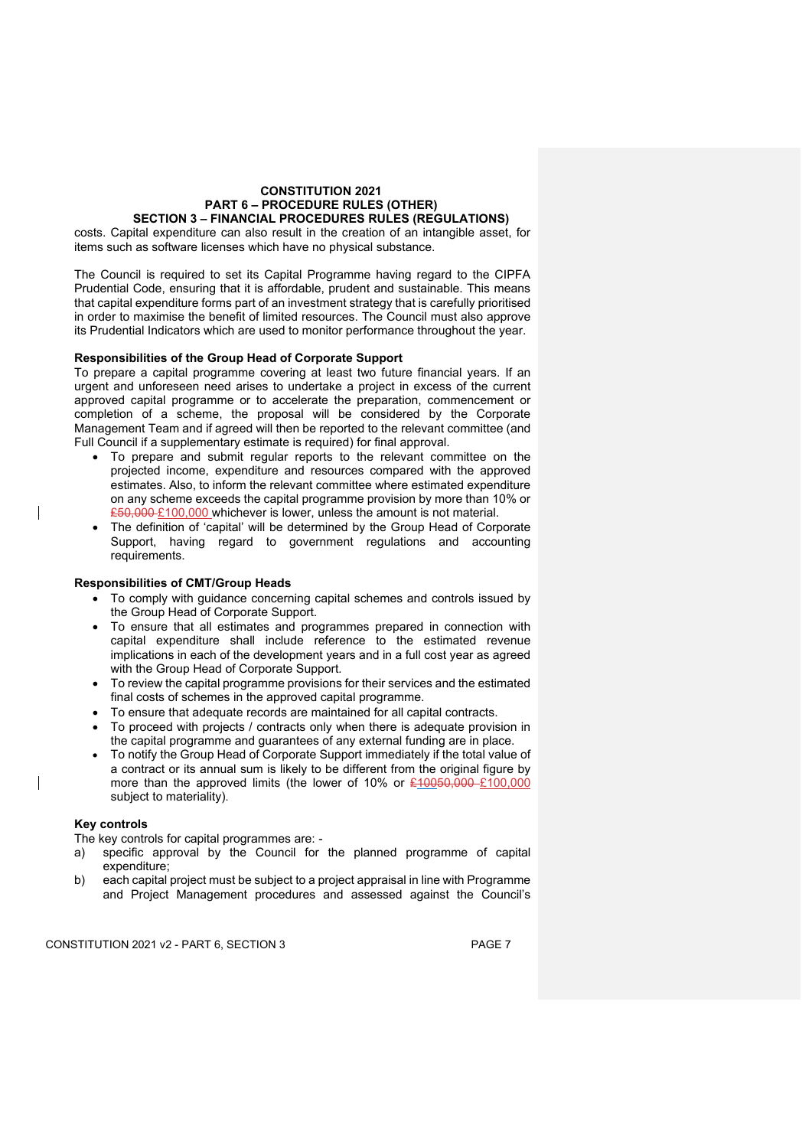costs. Capital expenditure can also result in the creation of an intangible asset, for items such as software licenses which have no physical substance.

The Council is required to set its Capital Programme having regard to the CIPFA Prudential Code, ensuring that it is affordable, prudent and sustainable. This means that capital expenditure forms part of an investment strategy that is carefully prioritised in order to maximise the benefit of limited resources. The Council must also approve its Prudential Indicators which are used to monitor performance throughout the year.

#### **Responsibilities of the Group Head of Corporate Support**

To prepare a capital programme covering at least two future financial years. If an urgent and unforeseen need arises to undertake a project in excess of the current approved capital programme or to accelerate the preparation, commencement or completion of a scheme, the proposal will be considered by the Corporate Management Team and if agreed will then be reported to the relevant committee (and Full Council if a supplementary estimate is required) for final approval.

- To prepare and submit regular reports to the relevant committee on the projected income, expenditure and resources compared with the approved estimates. Also, to inform the relevant committee where estimated expenditure on any scheme exceeds the capital programme provision by more than 10% or £50,000 £100,000 whichever is lower, unless the amount is not material.
- The definition of 'capital' will be determined by the Group Head of Corporate Support, having regard to government regulations and accounting requirements.

#### **Responsibilities of CMT/Group Heads**

- To comply with guidance concerning capital schemes and controls issued by the Group Head of Corporate Support.
- To ensure that all estimates and programmes prepared in connection with capital expenditure shall include reference to the estimated revenue implications in each of the development years and in a full cost year as agreed with the Group Head of Corporate Support*.*
- To review the capital programme provisions for their services and the estimated final costs of schemes in the approved capital programme.
- To ensure that adequate records are maintained for all capital contracts.
- To proceed with projects / contracts only when there is adequate provision in the capital programme and guarantees of any external funding are in place.
- To notify the Group Head of Corporate Support immediately if the total value of a contract or its annual sum is likely to be different from the original figure by more than the approved limits (the lower of 10% or £10050,000 £100,000 subject to materiality).

#### **Key controls**

The key controls for capital programmes are: -

- a) specific approval by the Council for the planned programme of capital expenditure;
- b) each capital project must be subject to a project appraisal in line with Programme and Project Management procedures and assessed against the Council's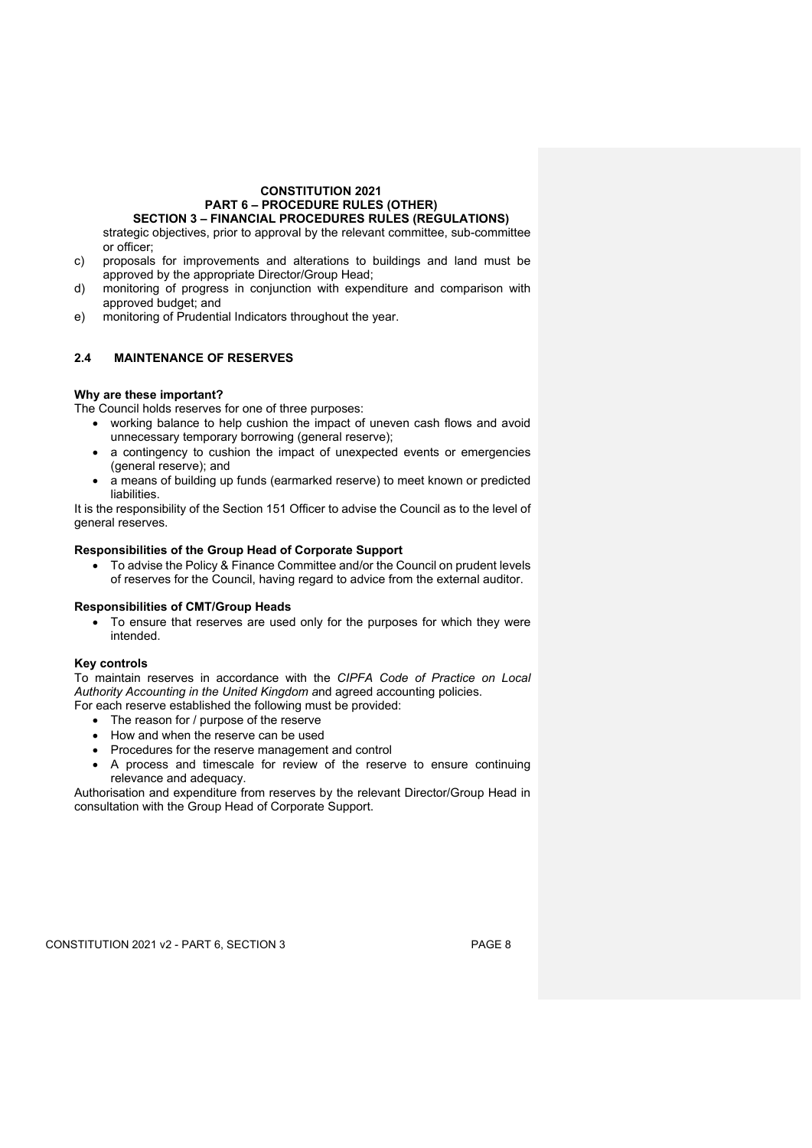strategic objectives, prior to approval by the relevant committee, sub-committee or officer;

- c) proposals for improvements and alterations to buildings and land must be approved by the appropriate Director/Group Head;
- d) monitoring of progress in conjunction with expenditure and comparison with approved budget; and
- e) monitoring of Prudential Indicators throughout the year.

### **2.4 MAINTENANCE OF RESERVES**

### **Why are these important?**

The Council holds reserves for one of three purposes:

- working balance to help cushion the impact of uneven cash flows and avoid unnecessary temporary borrowing (general reserve);
- a contingency to cushion the impact of unexpected events or emergencies (general reserve); and
- a means of building up funds (earmarked reserve) to meet known or predicted liabilities.

It is the responsibility of the Section 151 Officer to advise the Council as to the level of general reserves.

#### **Responsibilities of the Group Head of Corporate Support**

 To advise the Policy & Finance Committee and/or the Council on prudent levels of reserves for the Council, having regard to advice from the external auditor.

### **Responsibilities of CMT/Group Heads**

 To ensure that reserves are used only for the purposes for which they were intended.

### **Key controls**

To maintain reserves in accordance with the *CIPFA Code of Practice on Local Authority Accounting in the United Kingdom a*nd agreed accounting policies. For each reserve established the following must be provided:

- The reason for / purpose of the reserve
- How and when the reserve can be used
- Procedures for the reserve management and control
- A process and timescale for review of the reserve to ensure continuing relevance and adequacy.

Authorisation and expenditure from reserves by the relevant Director/Group Head in consultation with the Group Head of Corporate Support.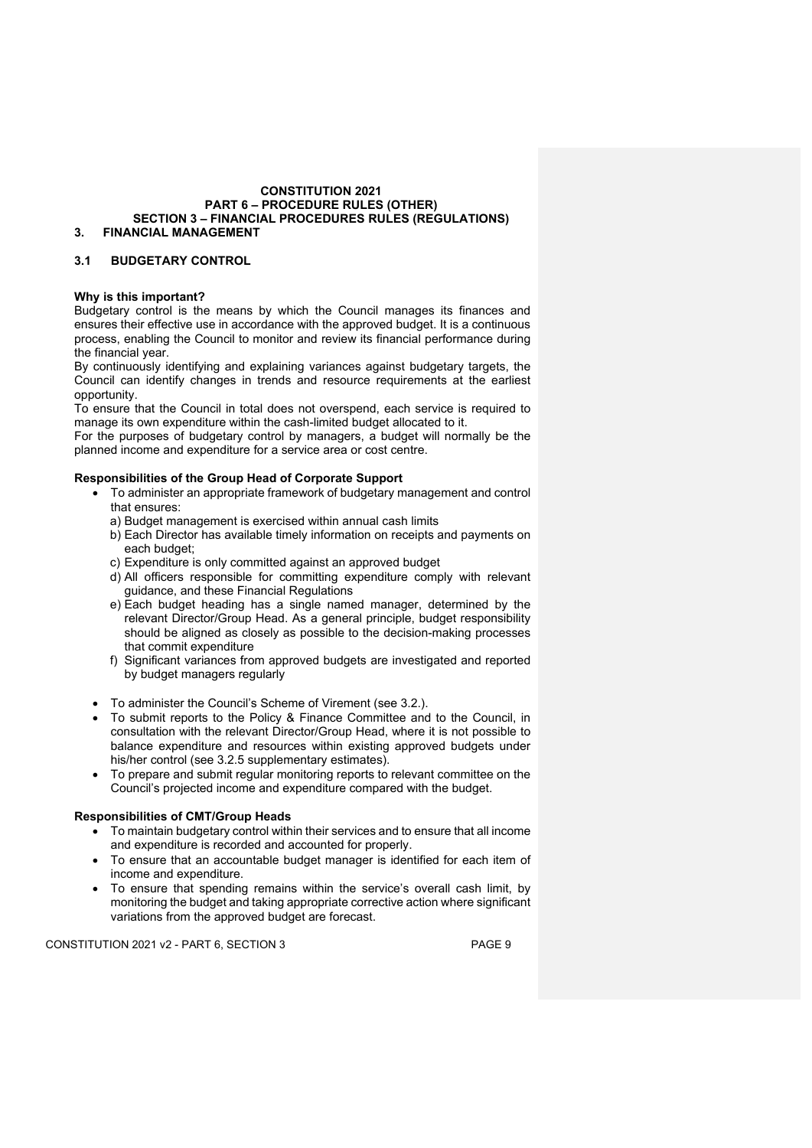#### **CONSTITUTION 2021 PART 6 – PROCEDURE RULES (OTHER) SECTION 3 – FINANCIAL PROCEDURES RULES (REGULATIONS) 3. FINANCIAL MANAGEMENT**

### **3.1 BUDGETARY CONTROL**

#### **Why is this important?**

Budgetary control is the means by which the Council manages its finances and ensures their effective use in accordance with the approved budget. It is a continuous process, enabling the Council to monitor and review its financial performance during the financial year.

By continuously identifying and explaining variances against budgetary targets, the Council can identify changes in trends and resource requirements at the earliest opportunity.

To ensure that the Council in total does not overspend, each service is required to manage its own expenditure within the cash-limited budget allocated to it.

For the purposes of budgetary control by managers, a budget will normally be the planned income and expenditure for a service area or cost centre.

#### **Responsibilities of the Group Head of Corporate Support**

- To administer an appropriate framework of budgetary management and control that ensures:
	- a) Budget management is exercised within annual cash limits
	- b) Each Director has available timely information on receipts and payments on each budget;
	- c) Expenditure is only committed against an approved budget
	- d) All officers responsible for committing expenditure comply with relevant guidance, and these Financial Regulations
	- e) Each budget heading has a single named manager, determined by the relevant Director/Group Head. As a general principle, budget responsibility should be aligned as closely as possible to the decision-making processes that commit expenditure
	- f) Significant variances from approved budgets are investigated and reported by budget managers regularly
- To administer the Council's Scheme of Virement (see 3.2.).
- To submit reports to the Policy & Finance Committee and to the Council, in consultation with the relevant Director/Group Head, where it is not possible to balance expenditure and resources within existing approved budgets under his/her control (see 3.2.5 supplementary estimates).
- To prepare and submit regular monitoring reports to relevant committee on the Council's projected income and expenditure compared with the budget.

### **Responsibilities of CMT/Group Heads**

- To maintain budgetary control within their services and to ensure that all income and expenditure is recorded and accounted for properly.
- To ensure that an accountable budget manager is identified for each item of income and expenditure.
- To ensure that spending remains within the service's overall cash limit, by monitoring the budget and taking appropriate corrective action where significant variations from the approved budget are forecast.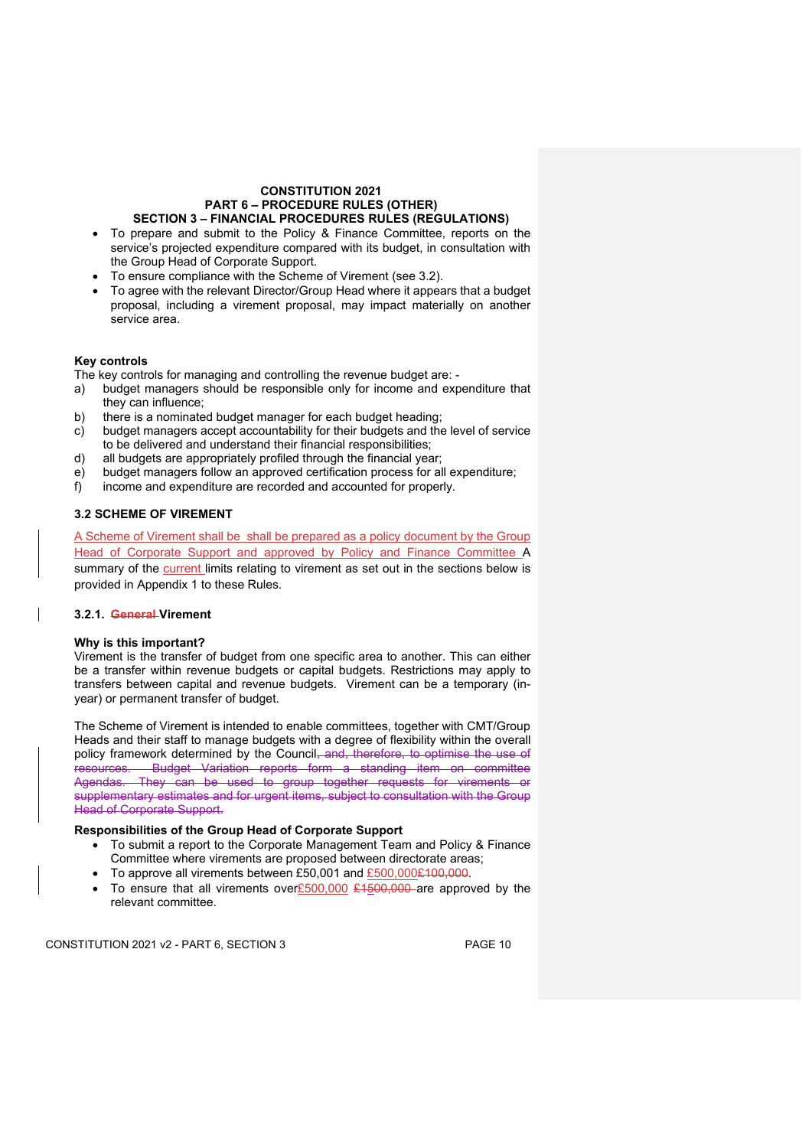- To prepare and submit to the Policy & Finance Committee, reports on the service's projected expenditure compared with its budget, in consultation with the Group Head of Corporate Support.
- To ensure compliance with the Scheme of Virement (see 3.2).
- To agree with the relevant Director/Group Head where it appears that a budget proposal, including a virement proposal, may impact materially on another service area.

#### **Key controls**

The key controls for managing and controlling the revenue budget are: -

- a) budget managers should be responsible only for income and expenditure that they can influence;
- b) there is a nominated budget manager for each budget heading;
- c) budget managers accept accountability for their budgets and the level of service to be delivered and understand their financial responsibilities;
- d) all budgets are appropriately profiled through the financial year;
- e) budget managers follow an approved certification process for all expenditure;
- f) income and expenditure are recorded and accounted for properly.

### **3.2 SCHEME OF VIREMENT**

A Scheme of Virement shall be shall be prepared as a policy document by the Group Head of Corporate Support and approved by Policy and Finance Committee A summary of the current limits relating to virement as set out in the sections below is provided in Appendix 1 to these Rules.

#### **3.2.1. General Virement**

#### **Why is this important?**

Virement is the transfer of budget from one specific area to another. This can either be a transfer within revenue budgets or capital budgets. Restrictions may apply to transfers between capital and revenue budgets. Virement can be a temporary (inyear) or permanent transfer of budget.

The Scheme of Virement is intended to enable committees, together with CMT/Group Heads and their staff to manage budgets with a degree of flexibility within the overall policy framework determined by the Council<del>, and, therefore, to optimise the use of</del> resources. Budget Variation reports form a standing item on committee Agendas. They can be used to group together requests for virements or supplementary estimates and for urgent items, subject to consultation with the Group Head of Corporate Support.

### **Responsibilities of the Group Head of Corporate Support**

- To submit a report to the Corporate Management Team and Policy & Finance Committee where virements are proposed between directorate areas;
- To approve all virements between £50,001 and £500,000£100,000.
- To ensure that all virements over£500,000 £1500,000 are approved by the relevant committee.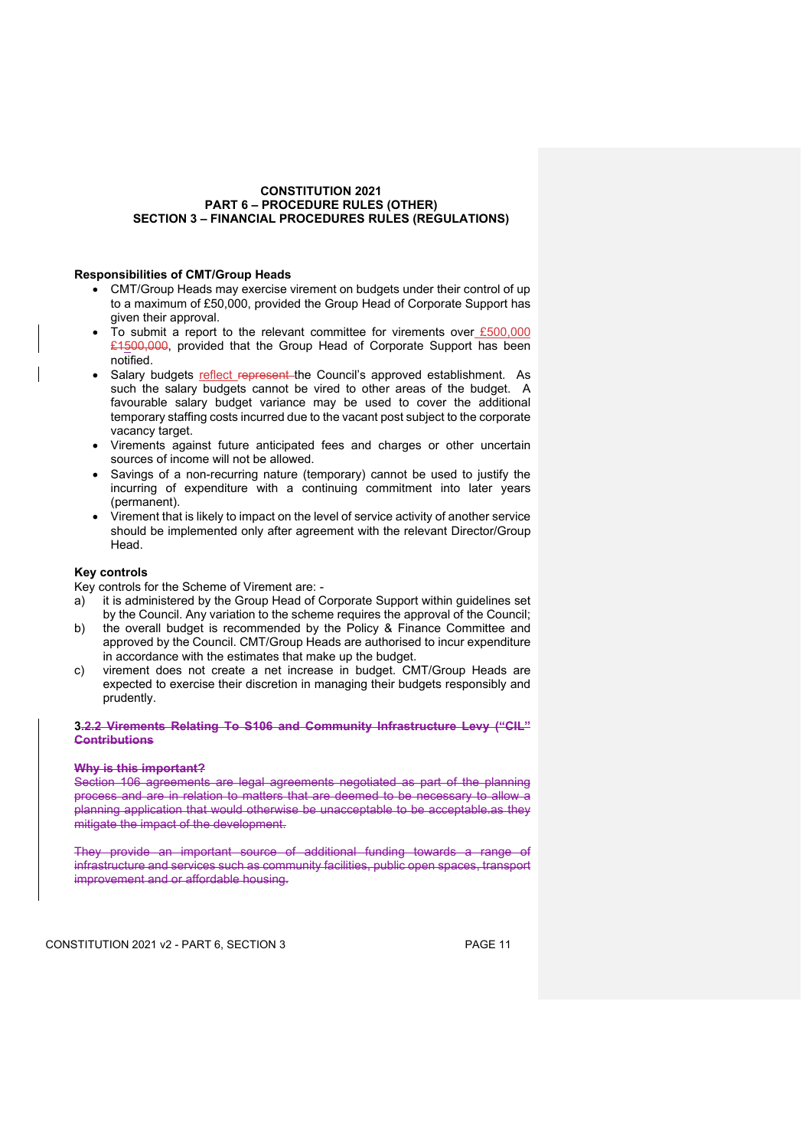#### **Responsibilities of CMT/Group Heads**

- CMT/Group Heads may exercise virement on budgets under their control of up to a maximum of £50,000, provided the Group Head of Corporate Support has given their approval.
- To submit a report to the relevant committee for virements over  $£500,000$ £1500,000, provided that the Group Head of Corporate Support has been notified.
- Salary budgets reflect represent the Council's approved establishment. As such the salary budgets cannot be vired to other areas of the budget. A favourable salary budget variance may be used to cover the additional temporary staffing costs incurred due to the vacant post subject to the corporate vacancy target.
- Virements against future anticipated fees and charges or other uncertain sources of income will not be allowed.
- Savings of a non-recurring nature (temporary) cannot be used to justify the incurring of expenditure with a continuing commitment into later years (permanent).
- Virement that is likely to impact on the level of service activity of another service should be implemented only after agreement with the relevant Director/Group Head.

#### **Key controls**

Key controls for the Scheme of Virement are: -

- a) it is administered by the Group Head of Corporate Support within guidelines set by the Council. Any variation to the scheme requires the approval of the Council;
- b) the overall budget is recommended by the Policy & Finance Committee and approved by the Council. CMT/Group Heads are authorised to incur expenditure in accordance with the estimates that make up the budget.
- c) virement does not create a net increase in budget. CMT/Group Heads are expected to exercise their discretion in managing their budgets responsibly and prudently.

**3.2.2 Virements Relating To S106 and Community Infrastructure Levy ("CIL" Contributions** 

#### **Why is this important?**

Section 106 agreements are legal agreements negotiated as part of the planning process and are in relation to matters that are deemed to be necessary to allow a planning application that would otherwise be unacceptable to be acceptable.as they mitigate the impact of the development.

They provide an important source of additional funding towards a range of infrastructure and services such as community facilities, public open spaces, transport improvement and or affordable housing.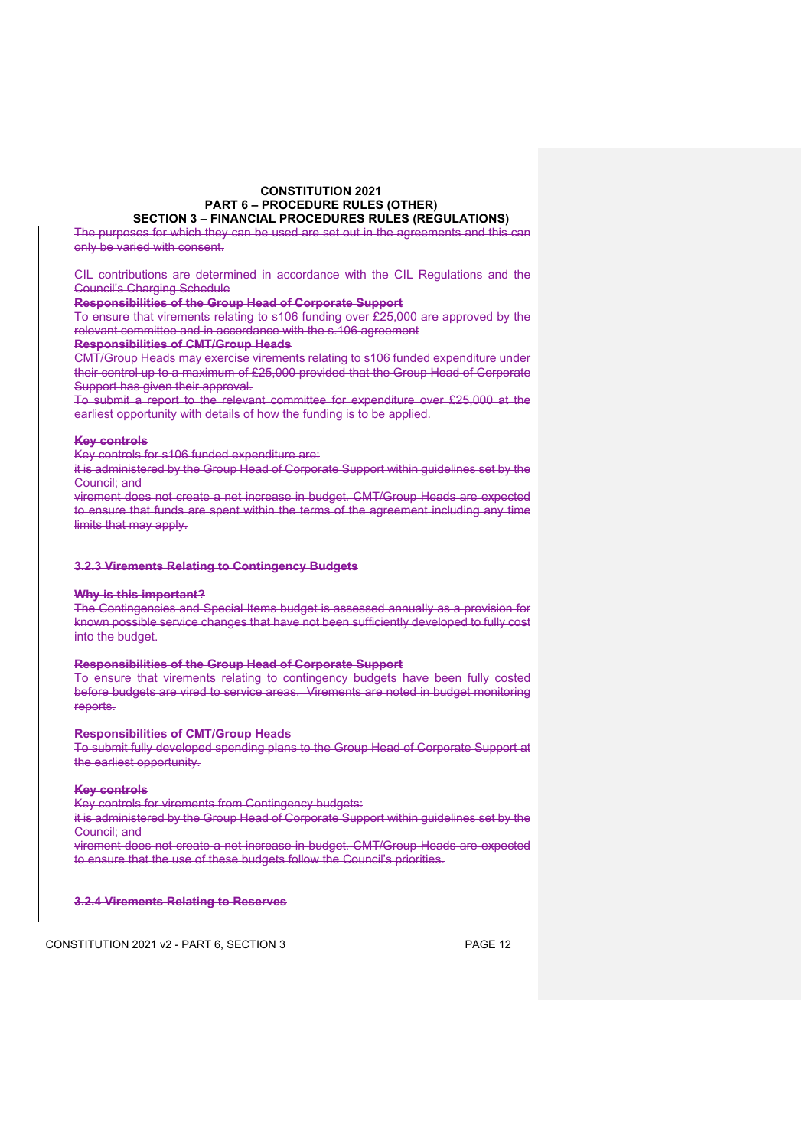The purposes for which they can be used are set out in the agreements and this can only be varied with consent.

CIL contributions are determined in accordance with the CIL Regulations and the Council's Charging Schedule

#### **Responsibilities of the Group Head of Corporate Support**

To ensure that virements relating to s106 funding over £25,000 are approved by the relevant committee and in accordance with the s.106 agreement

#### **Responsibilities of CMT/Group Heads**

CMT/Group Heads may exercise virements relating to s106 funded expenditure under their control up to a maximum of £25,000 provided that the Group Head of Corporate Support has given their approval.

To submit a report to the relevant committee for expenditure over £25,000 at the earliest opportunity with details of how the funding is to be applied.

#### **Key controls**

Key controls for s106 funded expenditure are:

it is administered by the Group Head of Corporate Support within guidelines set by the Council; and

virement does not create a net increase in budget. CMT/Group Heads are expected to ensure that funds are spent within the terms of the agreement including any time limits that may apply.

#### **3.2.3 Virements Relating to Contingency Budgets**

#### **Why is this important?**

The Contingencies and Special Items budget is assessed annually as a provision for known possible service changes that have not been sufficiently developed to fully cost into the budget.

#### **Responsibilities of the Group Head of Corporate Support**

To ensure that virements relating to contingency budgets have been fully costed before budgets are vired to service areas. Virements are noted in budget monitoring reports.

#### **Responsibilities of CMT/Group Heads**

To submit fully developed spending plans to the Group Head of Corporate Support at the earliest opportunity.

#### **Key controls**

Key controls for virements from Contingency budgets:

it is administered by the Group Head of Corporate Support within guidelines set by the Council; and

virement does not create a net increase in budget. CMT/Group Heads are expected to ensure that the use of these budgets follow the Council's priorities.

#### **3.2.4 Virements Relating to Reserves**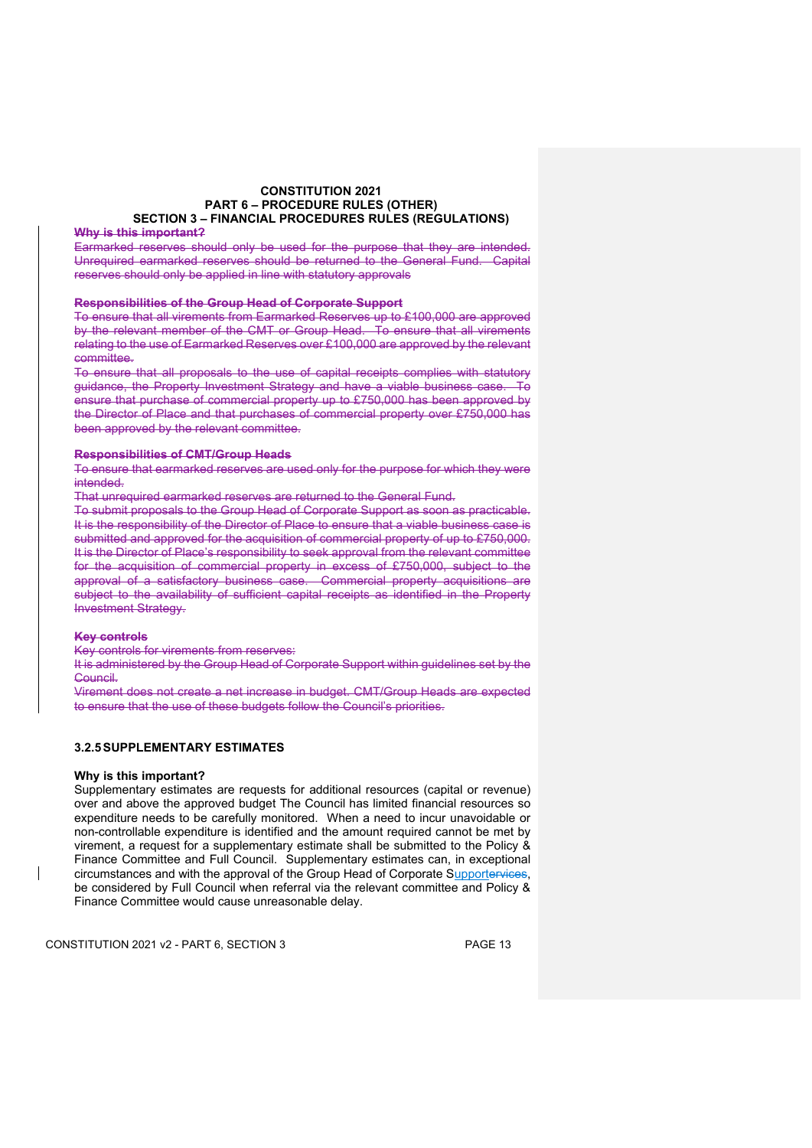#### **Why is this important?**

Earmarked reserves should only be used for the purpose that they are intended. Unrequired earmarked reserves should be returned to the General Fund. Capital reserves should only be applied in line with statutory approvals

#### **Responsibilities of the Group Head of Corporate Support**

To ensure that all virements from Earmarked Reserves up to £100,000 are approved by the relevant member of the CMT or Group Head. To ensure that all virements relating to the use of Earmarked Reserves over £100,000 are approved by the relevant committee.

To ensure that all proposals to the use of capital receipts complies with statutory guidance, the Property Investment Strategy and have a viable business case. To ensure that purchase of commercial property up to £750,000 has been approved by the Director of Place and that purchases of commercial property over £750,000 has been approved by the relevant committee.

#### **Responsibilities of CMT/Group Heads**

To ensure that earmarked reserves are used only for the purpose for which they were intended.

That unrequired earmarked reserves are returned to the General Fund.

To submit proposals to the Group Head of Corporate Support as soon as practicable. It is the responsibility of the Director of Place to ensure that a viable business case is submitted and approved for the acquisition of commercial property of up to £750,000. It is the Director of Place's responsibility to seek approval from the relevant committee for the acquisition of commercial property in excess of £750,000, subject to the approval of a satisfactory business case. Commercial property acquisitions are subject to the availability of sufficient capital receipts as identified in the Property Investment Strategy.

#### **Key controls**

Key controls for virements from reserves:

It is administered by the Group Head of Corporate Support within guidelines set by the Council.

Virement does not create a net increase in budget. CMT/Group Heads are expected to ensure that the use of these budgets follow the Council's priorities.

### **3.2.5 SUPPLEMENTARY ESTIMATES**

#### **Why is this important?**

Supplementary estimates are requests for additional resources (capital or revenue) over and above the approved budget The Council has limited financial resources so expenditure needs to be carefully monitored. When a need to incur unavoidable or non-controllable expenditure is identified and the amount required cannot be met by virement, a request for a supplementary estimate shall be submitted to the Policy & Finance Committee and Full Council. Supplementary estimates can, in exceptional circumstances and with the approval of the Group Head of Corporate Supportervices, be considered by Full Council when referral via the relevant committee and Policy & Finance Committee would cause unreasonable delay.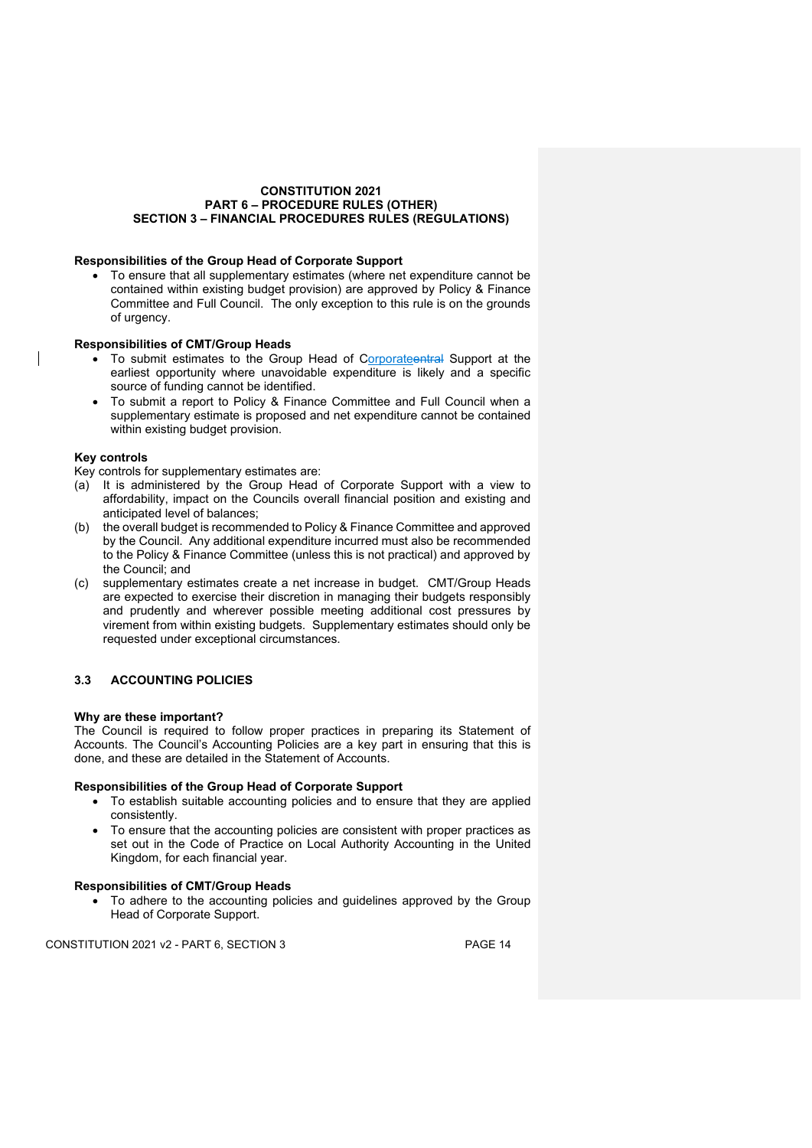### **Responsibilities of the Group Head of Corporate Support**

 To ensure that all supplementary estimates (where net expenditure cannot be contained within existing budget provision) are approved by Policy & Finance Committee and Full Council. The only exception to this rule is on the grounds of urgency.

### **Responsibilities of CMT/Group Heads**

- To submit estimates to the Group Head of Corporateentral Support at the earliest opportunity where unavoidable expenditure is likely and a specific source of funding cannot be identified.
- To submit a report to Policy & Finance Committee and Full Council when a supplementary estimate is proposed and net expenditure cannot be contained within existing budget provision.

#### **Key controls**

Key controls for supplementary estimates are:

- (a) It is administered by the Group Head of Corporate Support with a view to affordability, impact on the Councils overall financial position and existing and anticipated level of balances;
- (b) the overall budget is recommended to Policy & Finance Committee and approved by the Council. Any additional expenditure incurred must also be recommended to the Policy & Finance Committee (unless this is not practical) and approved by the Council; and
- (c) supplementary estimates create a net increase in budget. CMT/Group Heads are expected to exercise their discretion in managing their budgets responsibly and prudently and wherever possible meeting additional cost pressures by virement from within existing budgets. Supplementary estimates should only be requested under exceptional circumstances.

### **3.3 ACCOUNTING POLICIES**

#### **Why are these important?**

The Council is required to follow proper practices in preparing its Statement of Accounts. The Council's Accounting Policies are a key part in ensuring that this is done, and these are detailed in the Statement of Accounts.

### **Responsibilities of the Group Head of Corporate Support**

- To establish suitable accounting policies and to ensure that they are applied consistently.
- To ensure that the accounting policies are consistent with proper practices as set out in the Code of Practice on Local Authority Accounting in the United Kingdom, for each financial year.

### **Responsibilities of CMT/Group Heads**

 To adhere to the accounting policies and guidelines approved by the Group Head of Corporate Support.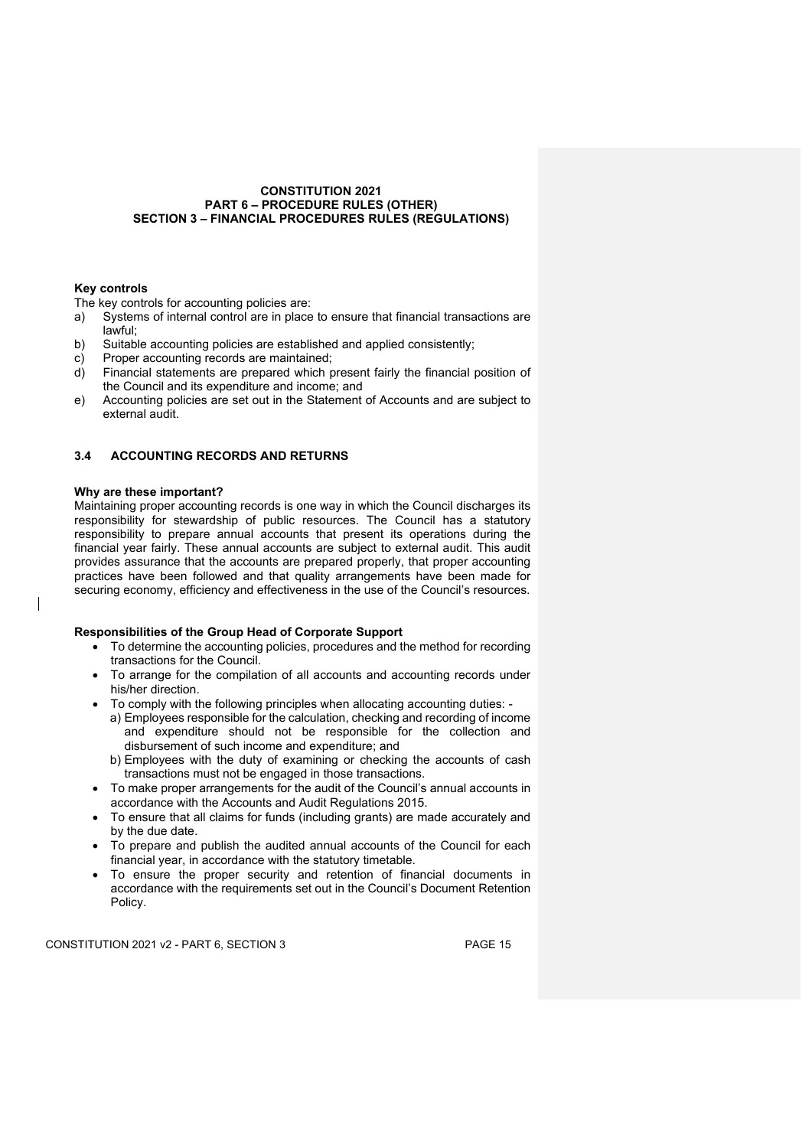#### **Key controls**

The key controls for accounting policies are:

- a) Systems of internal control are in place to ensure that financial transactions are lawful;
- b) Suitable accounting policies are established and applied consistently;
- c) Proper accounting records are maintained;
- d) Financial statements are prepared which present fairly the financial position of the Council and its expenditure and income; and
- e) Accounting policies are set out in the Statement of Accounts and are subject to external audit.

### **3.4 ACCOUNTING RECORDS AND RETURNS**

#### **Why are these important?**

 $\overline{\phantom{a}}$ 

Maintaining proper accounting records is one way in which the Council discharges its responsibility for stewardship of public resources. The Council has a statutory responsibility to prepare annual accounts that present its operations during the financial year fairly. These annual accounts are subject to external audit. This audit provides assurance that the accounts are prepared properly, that proper accounting practices have been followed and that quality arrangements have been made for securing economy, efficiency and effectiveness in the use of the Council's resources.

### **Responsibilities of the Group Head of Corporate Support**

- To determine the accounting policies, procedures and the method for recording transactions for the Council.
- To arrange for the compilation of all accounts and accounting records under his/her direction.
- To comply with the following principles when allocating accounting duties:
	- a) Employees responsible for the calculation, checking and recording of income and expenditure should not be responsible for the collection and disbursement of such income and expenditure; and
	- b) Employees with the duty of examining or checking the accounts of cash transactions must not be engaged in those transactions.
- To make proper arrangements for the audit of the Council's annual accounts in accordance with the Accounts and Audit Regulations 2015.
- To ensure that all claims for funds (including grants) are made accurately and by the due date.
- To prepare and publish the audited annual accounts of the Council for each financial year, in accordance with the statutory timetable.
- To ensure the proper security and retention of financial documents in accordance with the requirements set out in the Council's Document Retention Policy.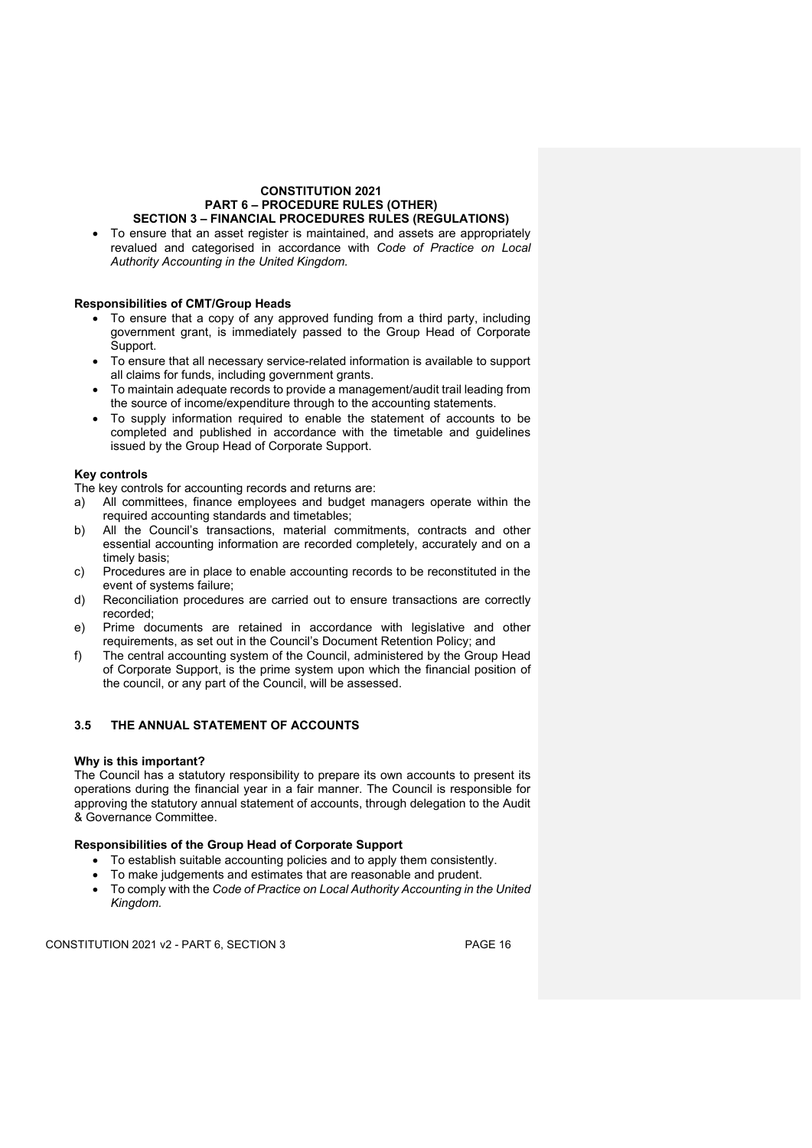To ensure that an asset register is maintained, and assets are appropriately revalued and categorised in accordance with *Code of Practice on Local Authority Accounting in the United Kingdom.*

### **Responsibilities of CMT/Group Heads**

- To ensure that a copy of any approved funding from a third party, including government grant, is immediately passed to the Group Head of Corporate Support.
- To ensure that all necessary service-related information is available to support all claims for funds, including government grants.
- To maintain adequate records to provide a management/audit trail leading from the source of income/expenditure through to the accounting statements.
- To supply information required to enable the statement of accounts to be completed and published in accordance with the timetable and guidelines issued by the Group Head of Corporate Support.

### **Key controls**

The key controls for accounting records and returns are:

- a) All committees, finance employees and budget managers operate within the required accounting standards and timetables;
- b) All the Council's transactions, material commitments, contracts and other essential accounting information are recorded completely, accurately and on a timely basis;
- c) Procedures are in place to enable accounting records to be reconstituted in the event of systems failure;
- d) Reconciliation procedures are carried out to ensure transactions are correctly recorded;
- e) Prime documents are retained in accordance with legislative and other requirements, as set out in the Council's Document Retention Policy; and
- f) The central accounting system of the Council, administered by the Group Head of Corporate Support, is the prime system upon which the financial position of the council, or any part of the Council, will be assessed.

### **3.5 THE ANNUAL STATEMENT OF ACCOUNTS**

### **Why is this important?**

The Council has a statutory responsibility to prepare its own accounts to present its operations during the financial year in a fair manner. The Council is responsible for approving the statutory annual statement of accounts, through delegation to the Audit & Governance Committee.

### **Responsibilities of the Group Head of Corporate Support**

- To establish suitable accounting policies and to apply them consistently.
- To make judgements and estimates that are reasonable and prudent.
- To comply with the *Code of Practice on Local Authority Accounting in the United Kingdom.*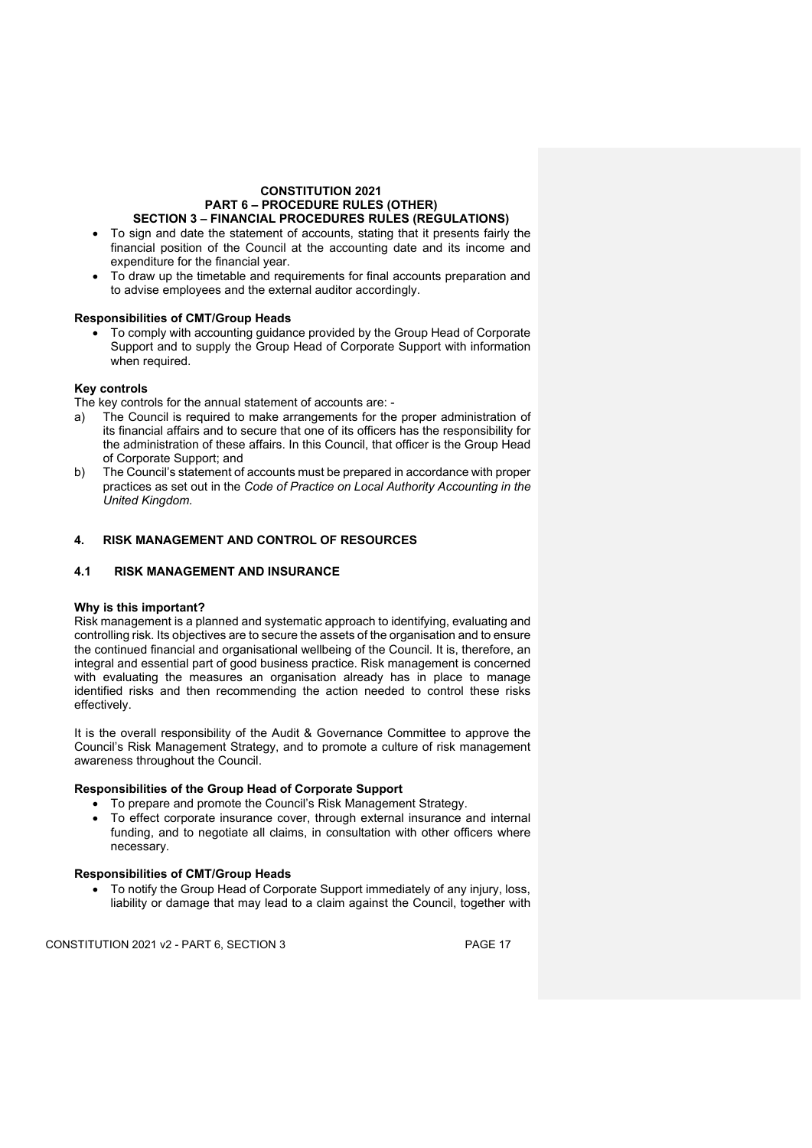- To sign and date the statement of accounts, stating that it presents fairly the financial position of the Council at the accounting date and its income and expenditure for the financial year.
- To draw up the timetable and requirements for final accounts preparation and to advise employees and the external auditor accordingly.

### **Responsibilities of CMT/Group Heads**

 To comply with accounting guidance provided by the Group Head of Corporate Support and to supply the Group Head of Corporate Support with information when required.

#### **Key controls**

The key controls for the annual statement of accounts are: -

- a) The Council is required to make arrangements for the proper administration of its financial affairs and to secure that one of its officers has the responsibility for the administration of these affairs. In this Council, that officer is the Group Head of Corporate Support; and
- b) The Council's statement of accounts must be prepared in accordance with proper practices as set out in the *Code of Practice on Local Authority Accounting in the United Kingdom.*

### **4. RISK MANAGEMENT AND CONTROL OF RESOURCES**

#### **4.1 RISK MANAGEMENT AND INSURANCE**

#### **Why is this important?**

Risk management is a planned and systematic approach to identifying, evaluating and controlling risk. Its objectives are to secure the assets of the organisation and to ensure the continued financial and organisational wellbeing of the Council. It is, therefore, an integral and essential part of good business practice. Risk management is concerned with evaluating the measures an organisation already has in place to manage identified risks and then recommending the action needed to control these risks effectively.

It is the overall responsibility of the Audit & Governance Committee to approve the Council's Risk Management Strategy, and to promote a culture of risk management awareness throughout the Council.

### **Responsibilities of the Group Head of Corporate Support**

- To prepare and promote the Council's Risk Management Strategy.
- To effect corporate insurance cover, through external insurance and internal funding, and to negotiate all claims, in consultation with other officers where necessary.

### **Responsibilities of CMT/Group Heads**

 To notify the Group Head of Corporate Support immediately of any injury, loss, liability or damage that may lead to a claim against the Council, together with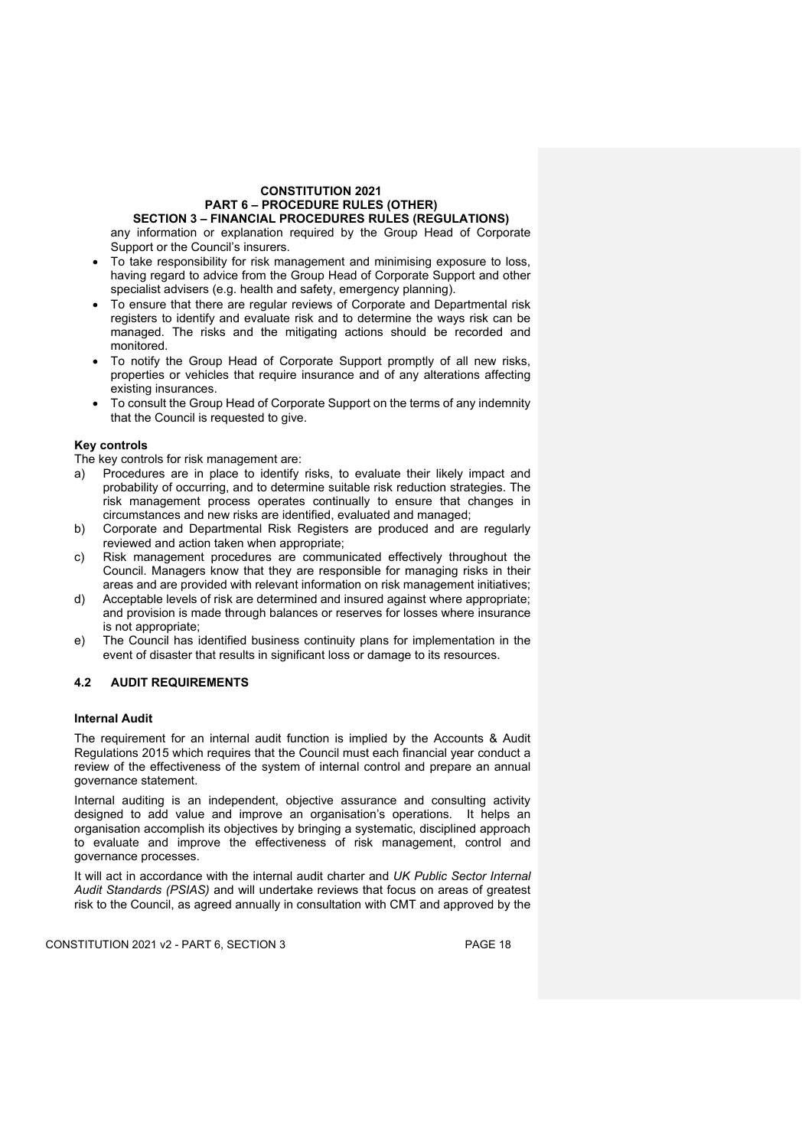any information or explanation required by the Group Head of Corporate Support or the Council's insurers.

- To take responsibility for risk management and minimising exposure to loss, having regard to advice from the Group Head of Corporate Support and other specialist advisers (e.g. health and safety, emergency planning).
- To ensure that there are regular reviews of Corporate and Departmental risk registers to identify and evaluate risk and to determine the ways risk can be managed. The risks and the mitigating actions should be recorded and monitored.
- To notify the Group Head of Corporate Support promptly of all new risks, properties or vehicles that require insurance and of any alterations affecting existing insurances.
- To consult the Group Head of Corporate Support on the terms of any indemnity that the Council is requested to give.

### **Key controls**

The key controls for risk management are:

- a) Procedures are in place to identify risks, to evaluate their likely impact and probability of occurring, and to determine suitable risk reduction strategies. The risk management process operates continually to ensure that changes in circumstances and new risks are identified, evaluated and managed;
- b) Corporate and Departmental Risk Registers are produced and are regularly reviewed and action taken when appropriate;
- c) Risk management procedures are communicated effectively throughout the Council. Managers know that they are responsible for managing risks in their areas and are provided with relevant information on risk management initiatives;
- d) Acceptable levels of risk are determined and insured against where appropriate; and provision is made through balances or reserves for losses where insurance is not appropriate;
- e) The Council has identified business continuity plans for implementation in the event of disaster that results in significant loss or damage to its resources.

### **4.2 AUDIT REQUIREMENTS**

### **Internal Audit**

The requirement for an internal audit function is implied by the Accounts & Audit Regulations 2015 which requires that the Council must each financial year conduct a review of the effectiveness of the system of internal control and prepare an annual governance statement.

Internal auditing is an independent, objective assurance and consulting activity designed to add value and improve an organisation's operations. It helps an organisation accomplish its objectives by bringing a systematic, disciplined approach to evaluate and improve the effectiveness of risk management, control and governance processes.

It will act in accordance with the internal audit charter and *UK Public Sector Internal Audit Standards (PSIAS)* and will undertake reviews that focus on areas of greatest risk to the Council, as agreed annually in consultation with CMT and approved by the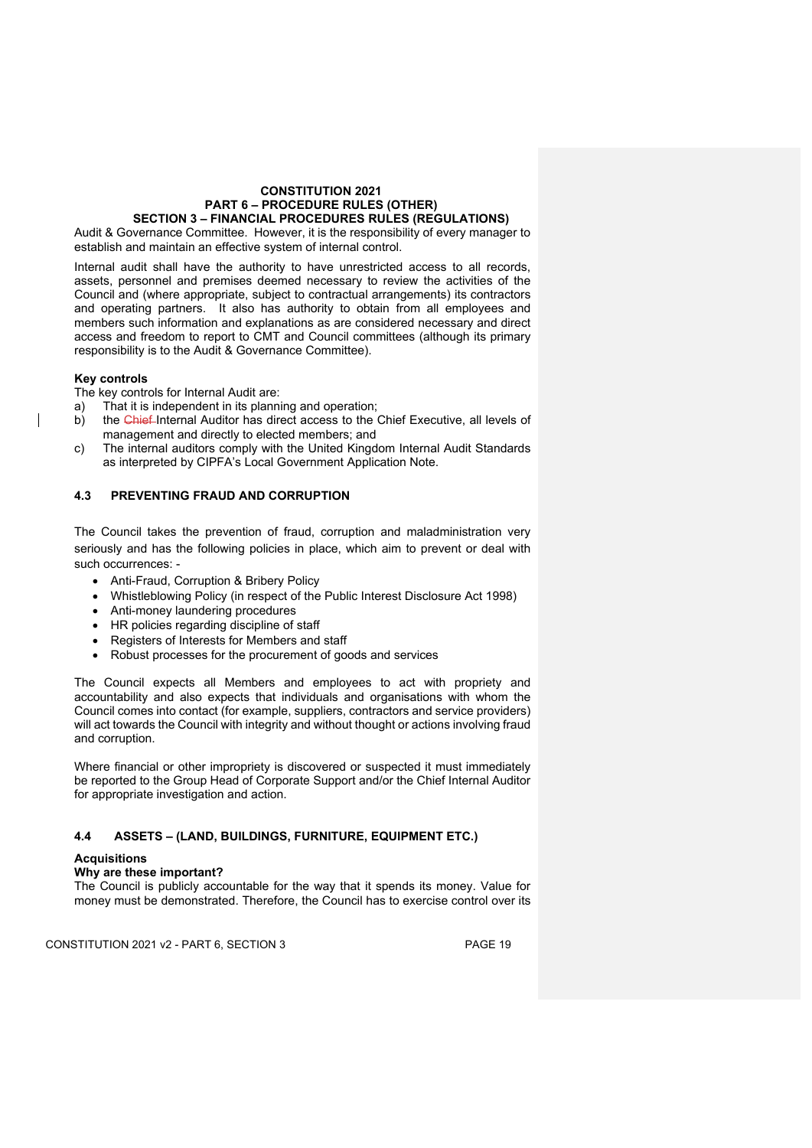Audit & Governance Committee. However, it is the responsibility of every manager to establish and maintain an effective system of internal control.

Internal audit shall have the authority to have unrestricted access to all records, assets, personnel and premises deemed necessary to review the activities of the Council and (where appropriate, subject to contractual arrangements) its contractors and operating partners. It also has authority to obtain from all employees and members such information and explanations as are considered necessary and direct access and freedom to report to CMT and Council committees (although its primary responsibility is to the Audit & Governance Committee).

### **Key controls**

The key controls for Internal Audit are:

- a) That it is independent in its planning and operation;
- b) the Chief Internal Auditor has direct access to the Chief Executive, all levels of management and directly to elected members; and
- c) The internal auditors comply with the United Kingdom Internal Audit Standards as interpreted by CIPFA's Local Government Application Note.

### **4.3 PREVENTING FRAUD AND CORRUPTION**

The Council takes the prevention of fraud, corruption and maladministration very seriously and has the following policies in place, which aim to prevent or deal with such occurrences: -

- Anti-Fraud, Corruption & Bribery Policy
- Whistleblowing Policy (in respect of the Public Interest Disclosure Act 1998)
- Anti-money laundering procedures
- HR policies regarding discipline of staff
- Registers of Interests for Members and staff
- Robust processes for the procurement of goods and services

The Council expects all Members and employees to act with propriety and accountability and also expects that individuals and organisations with whom the Council comes into contact (for example, suppliers, contractors and service providers) will act towards the Council with integrity and without thought or actions involving fraud and corruption.

Where financial or other impropriety is discovered or suspected it must immediately be reported to the Group Head of Corporate Support and/or the Chief Internal Auditor for appropriate investigation and action.

### **4.4 ASSETS – (LAND, BUILDINGS, FURNITURE, EQUIPMENT ETC.)**

### **Acquisitions**

### **Why are these important?**

The Council is publicly accountable for the way that it spends its money. Value for money must be demonstrated. Therefore, the Council has to exercise control over its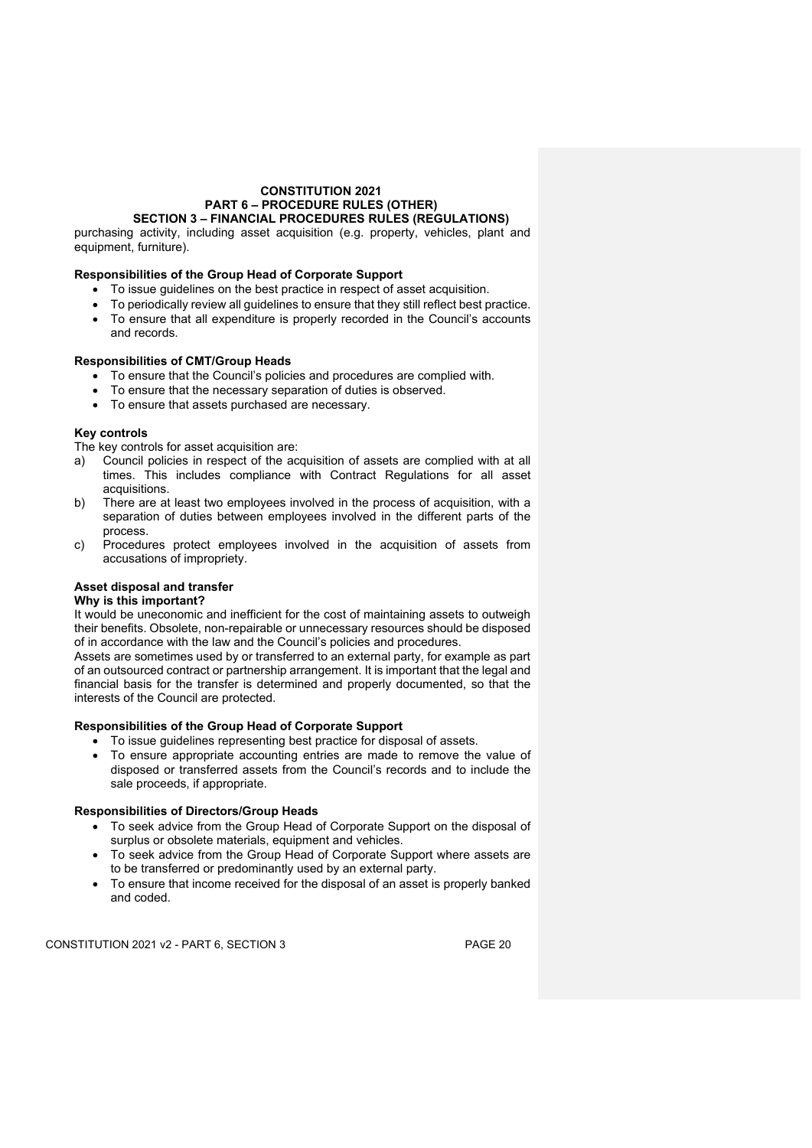purchasing activity, including asset acquisition (e.g. property, vehicles, plant and equipment, furniture).

### **Responsibilities of the Group Head of Corporate Support**

- To issue guidelines on the best practice in respect of asset acquisition.
- To periodically review all guidelines to ensure that they still reflect best practice.
- To ensure that all expenditure is properly recorded in the Council's accounts and records.

#### **Responsibilities of CMT/Group Heads**

- To ensure that the Council's policies and procedures are complied with.
- To ensure that the necessary separation of duties is observed.
- To ensure that assets purchased are necessary.

#### **Key controls**

The key controls for asset acquisition are:

- a) Council policies in respect of the acquisition of assets are complied with at all times. This includes compliance with Contract Regulations for all asset acquisitions.
- b) There are at least two employees involved in the process of acquisition, with a separation of duties between employees involved in the different parts of the process.
- c) Procedures protect employees involved in the acquisition of assets from accusations of impropriety.

### **Asset disposal and transfer**

#### **Why is this important?**

It would be uneconomic and inefficient for the cost of maintaining assets to outweigh their benefits. Obsolete, non-repairable or unnecessary resources should be disposed of in accordance with the law and the Council's policies and procedures.

Assets are sometimes used by or transferred to an external party, for example as part of an outsourced contract or partnership arrangement. It is important that the legal and financial basis for the transfer is determined and properly documented, so that the interests of the Council are protected.

### **Responsibilities of the Group Head of Corporate Support**

- To issue guidelines representing best practice for disposal of assets.
- To ensure appropriate accounting entries are made to remove the value of disposed or transferred assets from the Council's records and to include the sale proceeds, if appropriate.

### **Responsibilities of Directors/Group Heads**

- To seek advice from the Group Head of Corporate Support on the disposal of surplus or obsolete materials, equipment and vehicles.
- To seek advice from the Group Head of Corporate Support where assets are to be transferred or predominantly used by an external party.
- To ensure that income received for the disposal of an asset is properly banked and coded.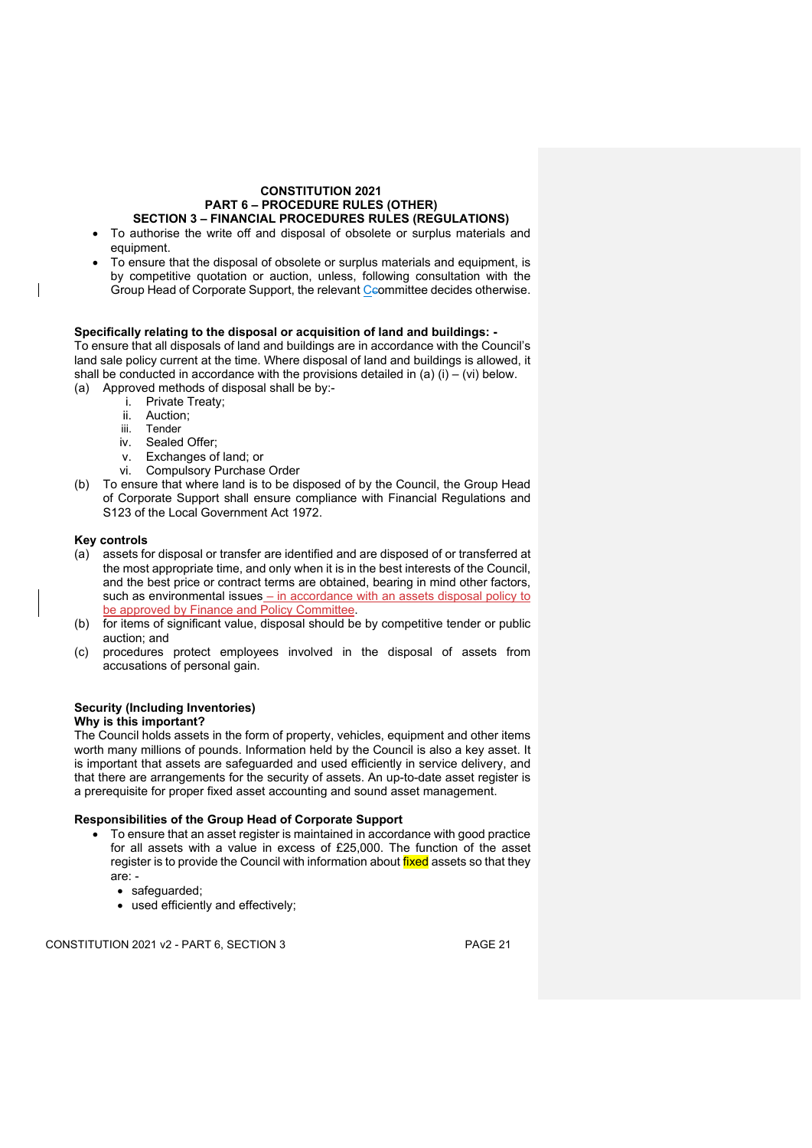- To authorise the write off and disposal of obsolete or surplus materials and equipment.
- To ensure that the disposal of obsolete or surplus materials and equipment, is by competitive quotation or auction, unless, following consultation with the Group Head of Corporate Support, the relevant Ccommittee decides otherwise.

### **Specifically relating to the disposal or acquisition of land and buildings: -**

To ensure that all disposals of land and buildings are in accordance with the Council's land sale policy current at the time. Where disposal of land and buildings is allowed, it shall be conducted in accordance with the provisions detailed in (a) (i) – (vi) below. (a) Approved methods of disposal shall be by:-

- i. Private Treaty;
	-
	- ii. Auction;
	- iii. Tender
	- iv. Sealed Offer;
	- v. Exchanges of land; or vi. Compulsory Purchase Order
- (b) To ensure that where land is to be disposed of by the Council, the Group Head of Corporate Support shall ensure compliance with Financial Regulations and S123 of the Local Government Act 1972.

### **Key controls**

- (a) assets for disposal or transfer are identified and are disposed of or transferred at the most appropriate time, and only when it is in the best interests of the Council, and the best price or contract terms are obtained, bearing in mind other factors, such as environmental issues  $-$  in accordance with an assets disposal policy to be approved by Finance and Policy Committee.
- (b) for items of significant value, disposal should be by competitive tender or public auction; and
- (c) procedures protect employees involved in the disposal of assets from accusations of personal gain.

## **Security (Including Inventories)**

### **Why is this important?**

The Council holds assets in the form of property, vehicles, equipment and other items worth many millions of pounds. Information held by the Council is also a key asset. It is important that assets are safeguarded and used efficiently in service delivery, and that there are arrangements for the security of assets. An up-to-date asset register is a prerequisite for proper fixed asset accounting and sound asset management.

#### **Responsibilities of the Group Head of Corporate Support**

- To ensure that an asset register is maintained in accordance with good practice for all assets with a value in excess of £25,000. The function of the asset register is to provide the Council with information about *fixed* assets so that they are: -
	- safeguarded;
	- used efficiently and effectively;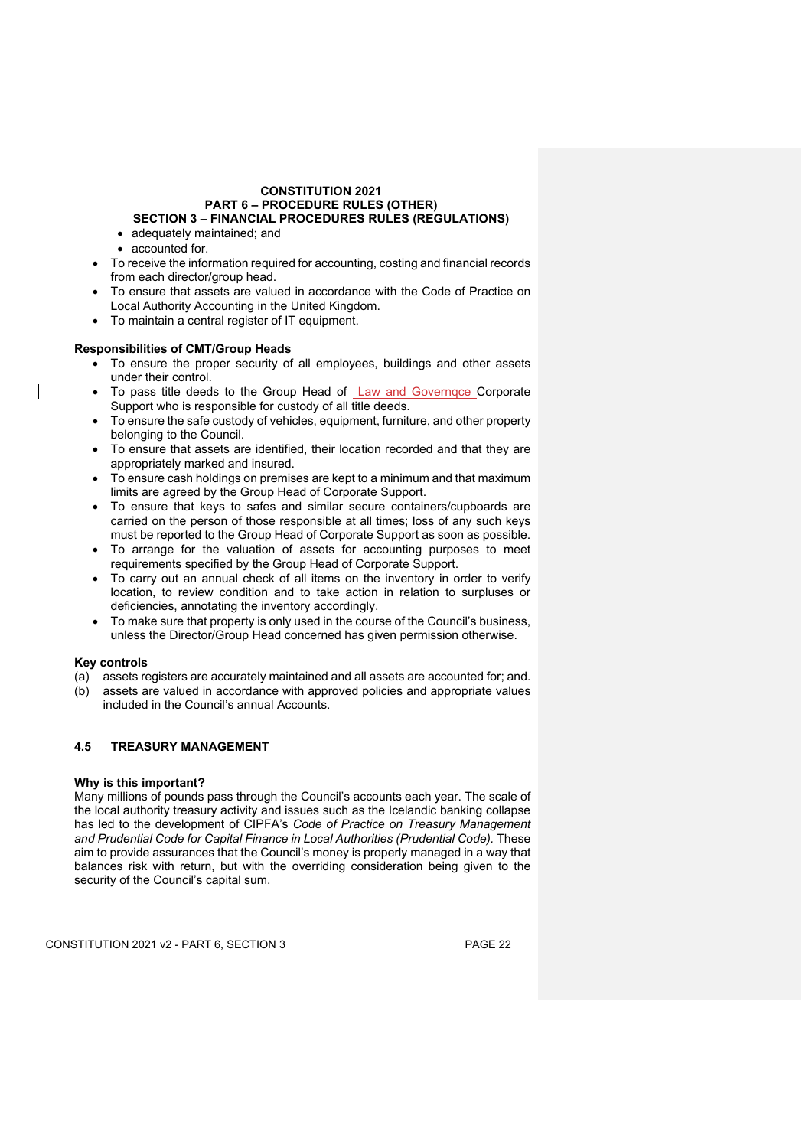### **CONSTITUTION 2021 PART 6 – PROCEDURE RULES (OTHER)**

### **SECTION 3 – FINANCIAL PROCEDURES RULES (REGULATIONS)**

- adequately maintained; and
- accounted for.
- To receive the information required for accounting, costing and financial records from each director/group head.
- To ensure that assets are valued in accordance with the Code of Practice on Local Authority Accounting in the United Kingdom.
- To maintain a central register of IT equipment.

### **Responsibilities of CMT/Group Heads**

- To ensure the proper security of all employees, buildings and other assets under their control.
- To pass title deeds to the Group Head of Law and Governqce Corporate Support who is responsible for custody of all title deeds.
- To ensure the safe custody of vehicles, equipment, furniture, and other property belonging to the Council.
- To ensure that assets are identified, their location recorded and that they are appropriately marked and insured.
- To ensure cash holdings on premises are kept to a minimum and that maximum limits are agreed by the Group Head of Corporate Support.
- To ensure that keys to safes and similar secure containers/cupboards are carried on the person of those responsible at all times; loss of any such keys must be reported to the Group Head of Corporate Support as soon as possible.
- To arrange for the valuation of assets for accounting purposes to meet requirements specified by the Group Head of Corporate Support.
- To carry out an annual check of all items on the inventory in order to verify location, to review condition and to take action in relation to surpluses or deficiencies, annotating the inventory accordingly.
- To make sure that property is only used in the course of the Council's business, unless the Director/Group Head concerned has given permission otherwise.

#### **Key controls**

- (a) assets registers are accurately maintained and all assets are accounted for; and.
- (b) assets are valued in accordance with approved policies and appropriate values included in the Council's annual Accounts.

### **4.5 TREASURY MANAGEMENT**

### **Why is this important?**

Many millions of pounds pass through the Council's accounts each year. The scale of the local authority treasury activity and issues such as the Icelandic banking collapse has led to the development of CIPFA's *Code of Practice on Treasury Management and Prudential Code for Capital Finance in Local Authorities (Prudential Code).* These aim to provide assurances that the Council's money is properly managed in a way that balances risk with return, but with the overriding consideration being given to the security of the Council's capital sum.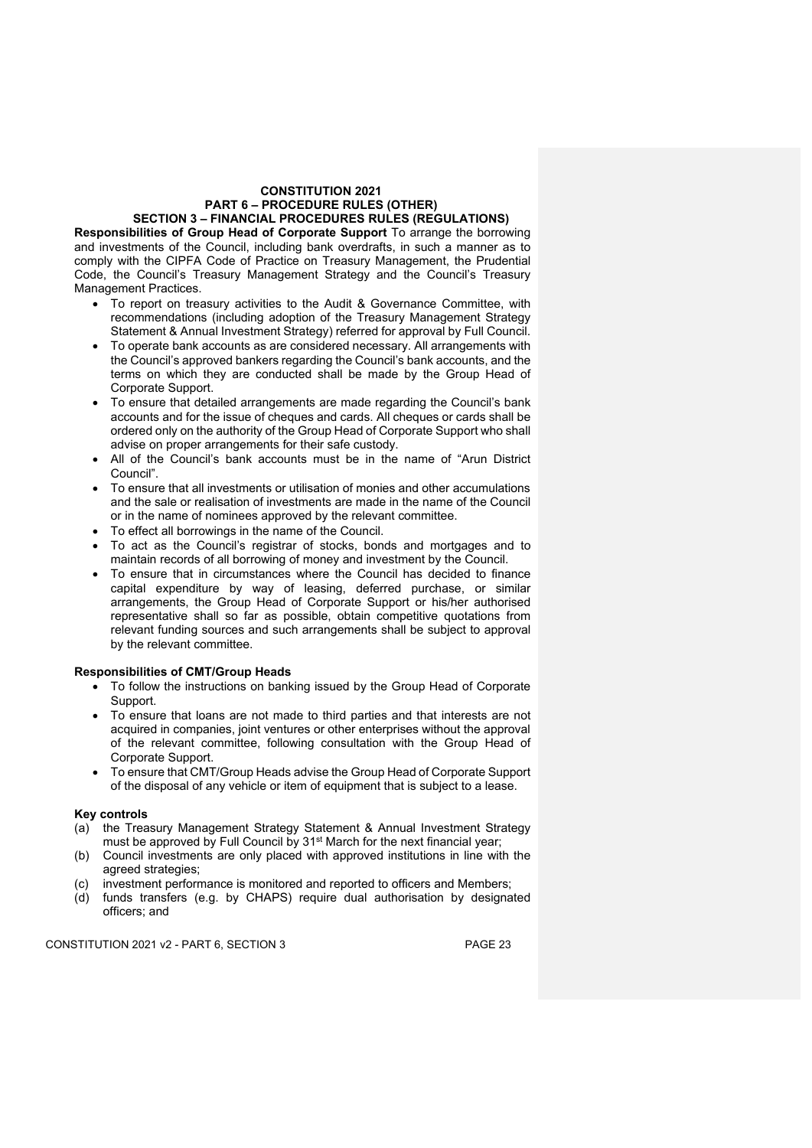**Responsibilities of Group Head of Corporate Support** To arrange the borrowing and investments of the Council, including bank overdrafts, in such a manner as to comply with the CIPFA Code of Practice on Treasury Management, the Prudential Code, the Council's Treasury Management Strategy and the Council's Treasury Management Practices.

- To report on treasury activities to the Audit & Governance Committee, with recommendations (including adoption of the Treasury Management Strategy Statement & Annual Investment Strategy) referred for approval by Full Council.
- To operate bank accounts as are considered necessary. All arrangements with the Council's approved bankers regarding the Council's bank accounts, and the terms on which they are conducted shall be made by the Group Head of Corporate Support.
- To ensure that detailed arrangements are made regarding the Council's bank accounts and for the issue of cheques and cards. All cheques or cards shall be ordered only on the authority of the Group Head of Corporate Support who shall advise on proper arrangements for their safe custody.
- All of the Council's bank accounts must be in the name of "Arun District Council".
- To ensure that all investments or utilisation of monies and other accumulations and the sale or realisation of investments are made in the name of the Council or in the name of nominees approved by the relevant committee.
- To effect all borrowings in the name of the Council.
- To act as the Council's registrar of stocks, bonds and mortgages and to maintain records of all borrowing of money and investment by the Council.
- To ensure that in circumstances where the Council has decided to finance capital expenditure by way of leasing, deferred purchase, or similar arrangements, the Group Head of Corporate Support or his/her authorised representative shall so far as possible, obtain competitive quotations from relevant funding sources and such arrangements shall be subject to approval by the relevant committee.

### **Responsibilities of CMT/Group Heads**

- To follow the instructions on banking issued by the Group Head of Corporate Support.
- To ensure that loans are not made to third parties and that interests are not acquired in companies, joint ventures or other enterprises without the approval of the relevant committee, following consultation with the Group Head of Corporate Support.
- To ensure that CMT/Group Heads advise the Group Head of Corporate Support of the disposal of any vehicle or item of equipment that is subject to a lease.

### **Key controls**

- (a) the Treasury Management Strategy Statement & Annual Investment Strategy must be approved by Full Council by 31<sup>st</sup> March for the next financial year;
- (b) Council investments are only placed with approved institutions in line with the agreed strategies;
- (c) investment performance is monitored and reported to officers and Members;
- (d) funds transfers (e.g. by CHAPS) require dual authorisation by designated officers; and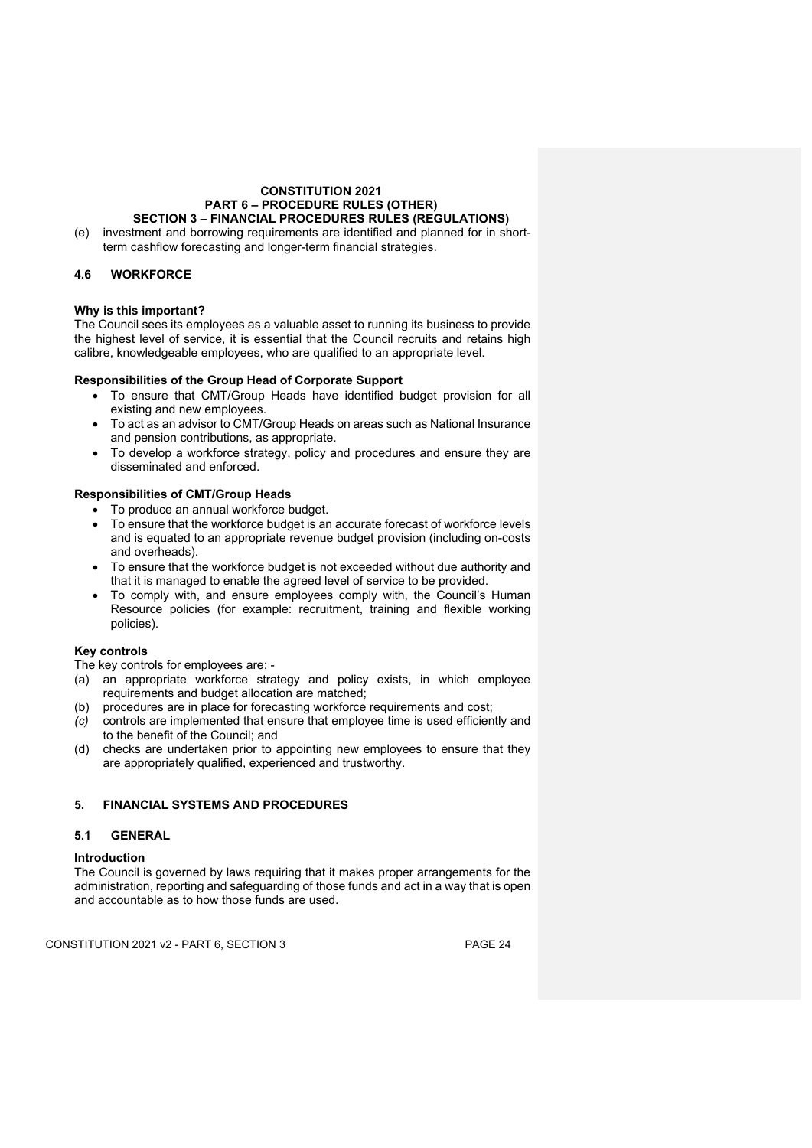(e) investment and borrowing requirements are identified and planned for in shortterm cashflow forecasting and longer-term financial strategies.

### **4.6 WORKFORCE**

### **Why is this important?**

The Council sees its employees as a valuable asset to running its business to provide the highest level of service, it is essential that the Council recruits and retains high calibre, knowledgeable employees, who are qualified to an appropriate level.

### **Responsibilities of the Group Head of Corporate Support**

- To ensure that CMT/Group Heads have identified budget provision for all existing and new employees.
- To act as an advisor to CMT/Group Heads on areas such as National Insurance and pension contributions, as appropriate.
- To develop a workforce strategy, policy and procedures and ensure they are disseminated and enforced.

### **Responsibilities of CMT/Group Heads**

- To produce an annual workforce budget.
- To ensure that the workforce budget is an accurate forecast of workforce levels and is equated to an appropriate revenue budget provision (including on-costs and overheads).
- To ensure that the workforce budget is not exceeded without due authority and that it is managed to enable the agreed level of service to be provided.
- To comply with, and ensure employees comply with, the Council's Human Resource policies (for example: recruitment, training and flexible working policies).

### **Key controls**

The key controls for employees are: -

- (a) an appropriate workforce strategy and policy exists, in which employee requirements and budget allocation are matched;
- (b) procedures are in place for forecasting workforce requirements and cost;
- *(c)* controls are implemented that ensure that employee time is used efficiently and to the benefit of the Council; and
- (d) checks are undertaken prior to appointing new employees to ensure that they are appropriately qualified, experienced and trustworthy.

### **5. FINANCIAL SYSTEMS AND PROCEDURES**

### **5.1 GENERAL**

### **Introduction**

The Council is governed by laws requiring that it makes proper arrangements for the administration, reporting and safeguarding of those funds and act in a way that is open and accountable as to how those funds are used.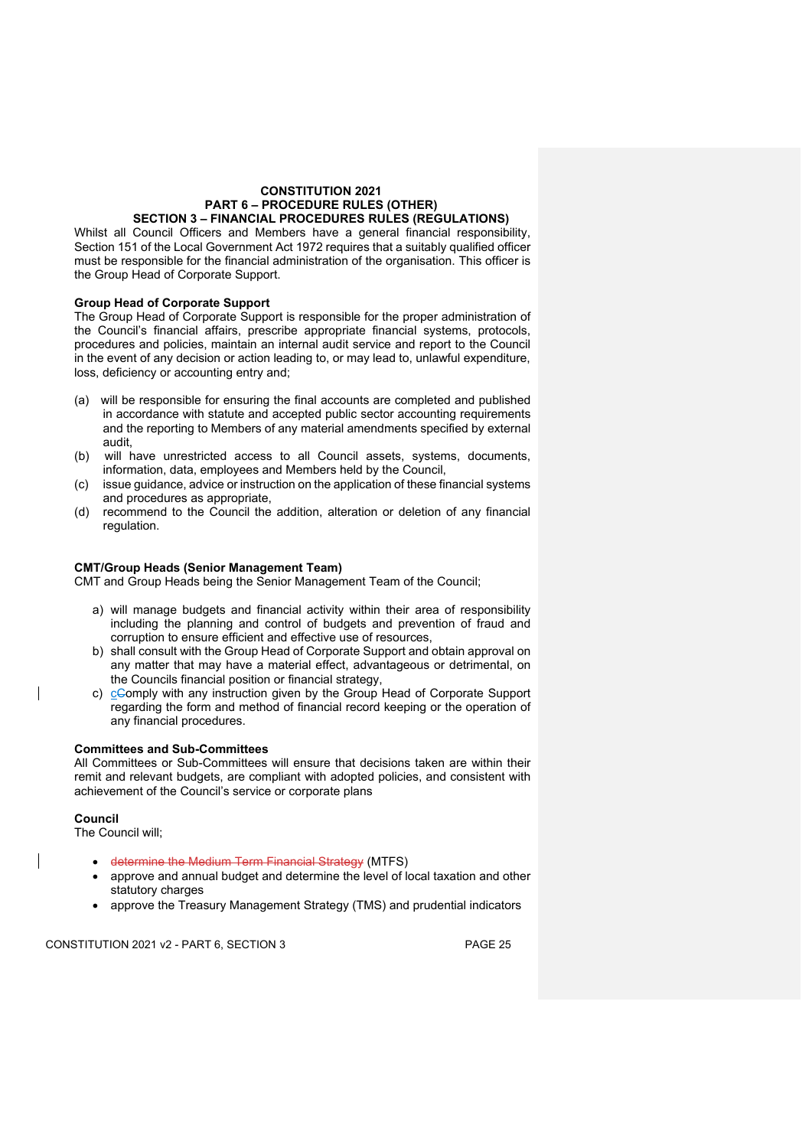Whilst all Council Officers and Members have a general financial responsibility, Section 151 of the Local Government Act 1972 requires that a suitably qualified officer must be responsible for the financial administration of the organisation. This officer is the Group Head of Corporate Support.

### **Group Head of Corporate Support**

The Group Head of Corporate Support is responsible for the proper administration of the Council's financial affairs, prescribe appropriate financial systems, protocols, procedures and policies, maintain an internal audit service and report to the Council in the event of any decision or action leading to, or may lead to, unlawful expenditure, loss, deficiency or accounting entry and;

- (a) will be responsible for ensuring the final accounts are completed and published in accordance with statute and accepted public sector accounting requirements and the reporting to Members of any material amendments specified by external audit,
- (b) will have unrestricted access to all Council assets, systems, documents, information, data, employees and Members held by the Council,
- (c) issue guidance, advice or instruction on the application of these financial systems and procedures as appropriate,
- (d) recommend to the Council the addition, alteration or deletion of any financial regulation.

### **CMT/Group Heads (Senior Management Team)**

CMT and Group Heads being the Senior Management Team of the Council;

- a) will manage budgets and financial activity within their area of responsibility including the planning and control of budgets and prevention of fraud and corruption to ensure efficient and effective use of resources,
- b) shall consult with the Group Head of Corporate Support and obtain approval on any matter that may have a material effect, advantageous or detrimental, on the Councils financial position or financial strategy,
- c) cComply with any instruction given by the Group Head of Corporate Support regarding the form and method of financial record keeping or the operation of any financial procedures.

### **Committees and Sub-Committees**

All Committees or Sub-Committees will ensure that decisions taken are within their remit and relevant budgets, are compliant with adopted policies, and consistent with achievement of the Council's service or corporate plans

### **Council**

 $\overline{\phantom{a}}$ 

The Council will;

- determine the Medium Term Financial Strategy (MTFS)
- approve and annual budget and determine the level of local taxation and other statutory charges
- approve the Treasury Management Strategy (TMS) and prudential indicators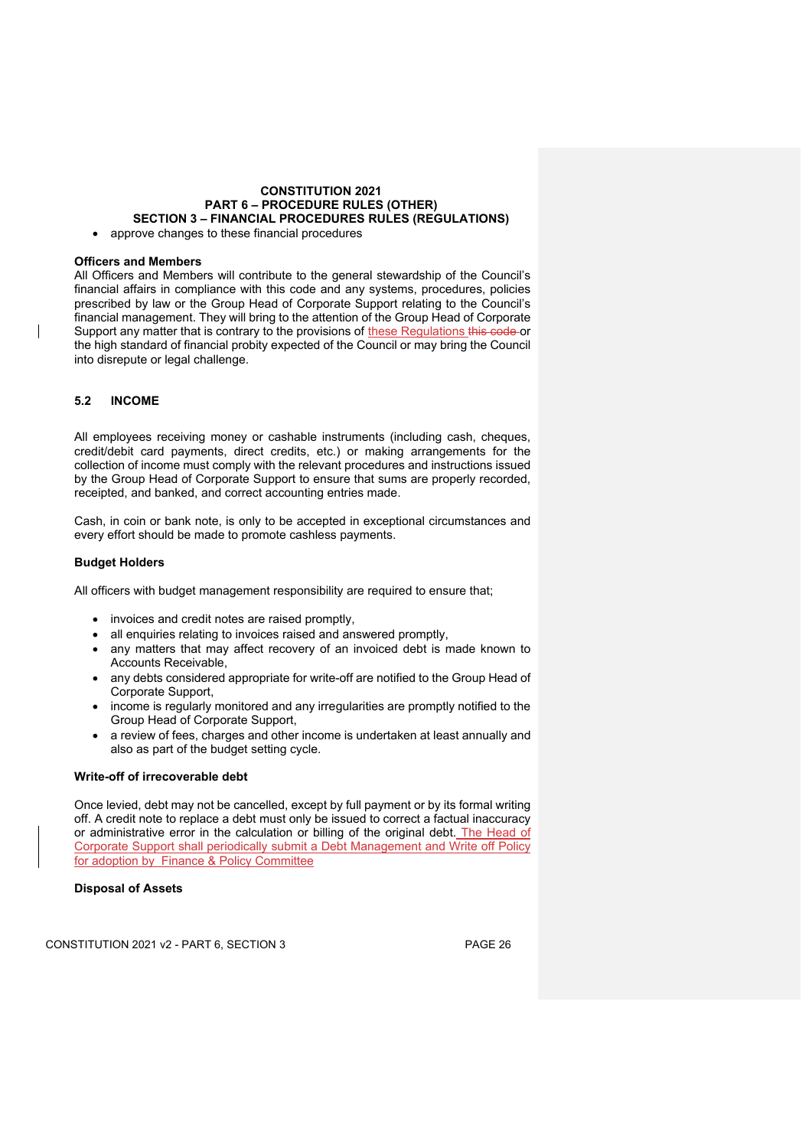approve changes to these financial procedures

### **Officers and Members**

All Officers and Members will contribute to the general stewardship of the Council's financial affairs in compliance with this code and any systems, procedures, policies prescribed by law or the Group Head of Corporate Support relating to the Council's financial management. They will bring to the attention of the Group Head of Corporate Support any matter that is contrary to the provisions of these Regulations this code or the high standard of financial probity expected of the Council or may bring the Council into disrepute or legal challenge.

### **5.2 INCOME**

All employees receiving money or cashable instruments (including cash, cheques, credit/debit card payments, direct credits, etc.) or making arrangements for the collection of income must comply with the relevant procedures and instructions issued by the Group Head of Corporate Support to ensure that sums are properly recorded, receipted, and banked, and correct accounting entries made.

Cash, in coin or bank note, is only to be accepted in exceptional circumstances and every effort should be made to promote cashless payments.

### **Budget Holders**

All officers with budget management responsibility are required to ensure that;

- invoices and credit notes are raised promptly,
- all enquiries relating to invoices raised and answered promptly,
- any matters that may affect recovery of an invoiced debt is made known to Accounts Receivable,
- any debts considered appropriate for write-off are notified to the Group Head of Corporate Support,
- income is regularly monitored and any irregularities are promptly notified to the Group Head of Corporate Support,
- a review of fees, charges and other income is undertaken at least annually and also as part of the budget setting cycle.

### **Write-off of irrecoverable debt**

Once levied, debt may not be cancelled, except by full payment or by its formal writing off. A credit note to replace a debt must only be issued to correct a factual inaccuracy or administrative error in the calculation or billing of the original debt. The Head of Corporate Support shall periodically submit a Debt Management and Write off Policy for adoption by Finance & Policy Committee

### **Disposal of Assets**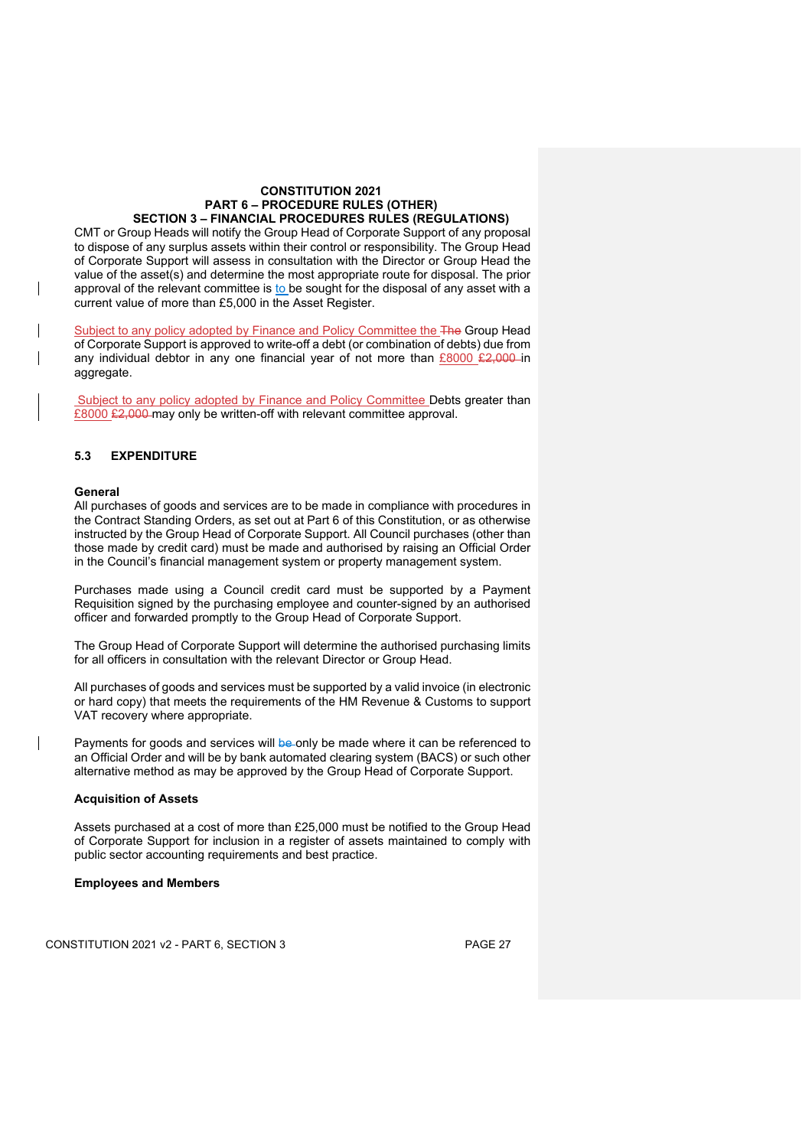CMT or Group Heads will notify the Group Head of Corporate Support of any proposal to dispose of any surplus assets within their control or responsibility. The Group Head of Corporate Support will assess in consultation with the Director or Group Head the value of the asset(s) and determine the most appropriate route for disposal. The prior approval of the relevant committee is to be sought for the disposal of any asset with a current value of more than £5,000 in the Asset Register.

Subject to any policy adopted by Finance and Policy Committee the The Group Head of Corporate Support is approved to write-off a debt (or combination of debts) due from any individual debtor in any one financial year of not more than  $£8000 £2,000$  in aggregate.

Subject to any policy adopted by Finance and Policy Committee Debts greater than £8000 £2,000 may only be written-off with relevant committee approval.

### **5.3 EXPENDITURE**

#### **General**

All purchases of goods and services are to be made in compliance with procedures in the Contract Standing Orders, as set out at Part 6 of this Constitution, or as otherwise instructed by the Group Head of Corporate Support. All Council purchases (other than those made by credit card) must be made and authorised by raising an Official Order in the Council's financial management system or property management system.

Purchases made using a Council credit card must be supported by a Payment Requisition signed by the purchasing employee and counter-signed by an authorised officer and forwarded promptly to the Group Head of Corporate Support.

The Group Head of Corporate Support will determine the authorised purchasing limits for all officers in consultation with the relevant Director or Group Head.

All purchases of goods and services must be supported by a valid invoice (in electronic or hard copy) that meets the requirements of the HM Revenue & Customs to support VAT recovery where appropriate.

Payments for goods and services will be only be made where it can be referenced to an Official Order and will be by bank automated clearing system (BACS) or such other alternative method as may be approved by the Group Head of Corporate Support.

#### **Acquisition of Assets**

Assets purchased at a cost of more than £25,000 must be notified to the Group Head of Corporate Support for inclusion in a register of assets maintained to comply with public sector accounting requirements and best practice.

#### **Employees and Members**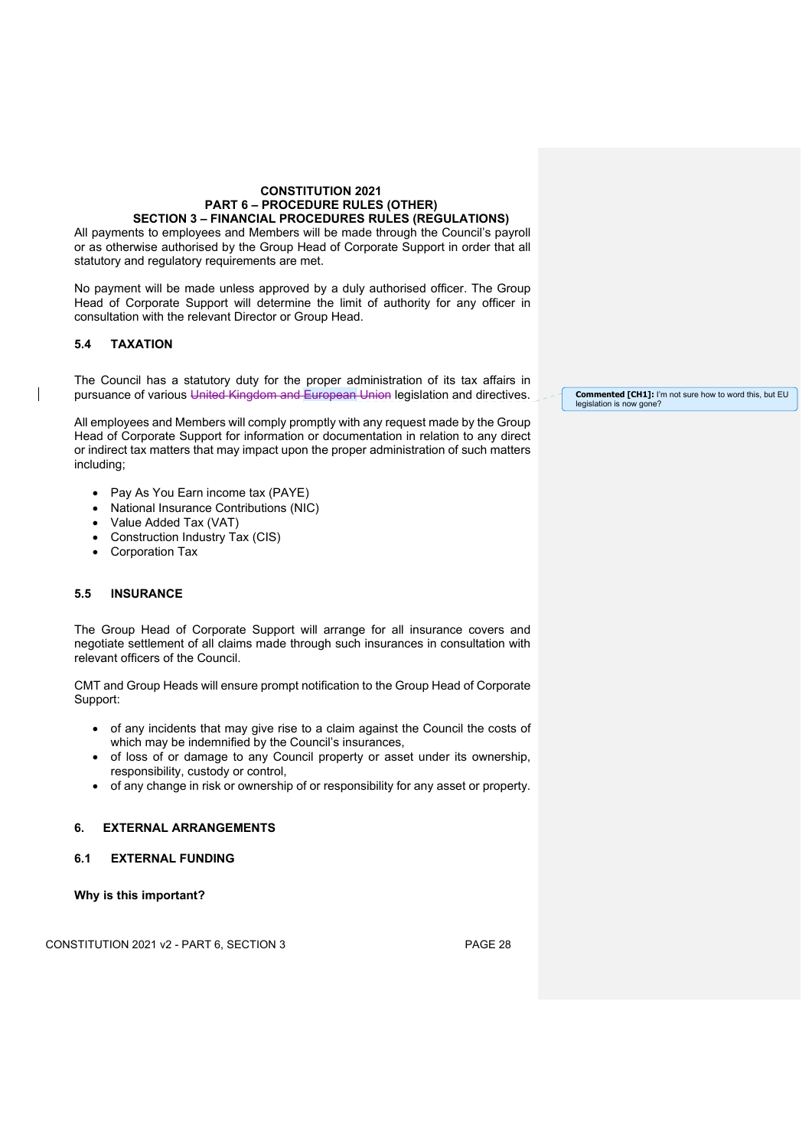All payments to employees and Members will be made through the Council's payroll or as otherwise authorised by the Group Head of Corporate Support in order that all statutory and regulatory requirements are met.

No payment will be made unless approved by a duly authorised officer. The Group Head of Corporate Support will determine the limit of authority for any officer in consultation with the relevant Director or Group Head.

### **5.4 TAXATION**

 $\overline{\phantom{a}}$ 

The Council has a statutory duty for the proper administration of its tax affairs in pursuance of various United Kingdom and European Union legislation and directives.

All employees and Members will comply promptly with any request made by the Group Head of Corporate Support for information or documentation in relation to any direct or indirect tax matters that may impact upon the proper administration of such matters including;

- Pay As You Earn income tax (PAYE)
- National Insurance Contributions (NIC)
- Value Added Tax (VAT)
- Construction Industry Tax (CIS)
- Corporation Tax

### **5.5 INSURANCE**

The Group Head of Corporate Support will arrange for all insurance covers and negotiate settlement of all claims made through such insurances in consultation with relevant officers of the Council.

CMT and Group Heads will ensure prompt notification to the Group Head of Corporate Support:

- of any incidents that may give rise to a claim against the Council the costs of which may be indemnified by the Council's insurances.
- of loss of or damage to any Council property or asset under its ownership, responsibility, custody or control,
- of any change in risk or ownership of or responsibility for any asset or property.

### **6. EXTERNAL ARRANGEMENTS**

### **6.1 EXTERNAL FUNDING**

**Why is this important?** 

CONSTITUTION 2021 v2 - PART 6, SECTION 3 PAGE 28

**Commented [CH1]:** I'm not sure how to word this, but EU legislation is now gone?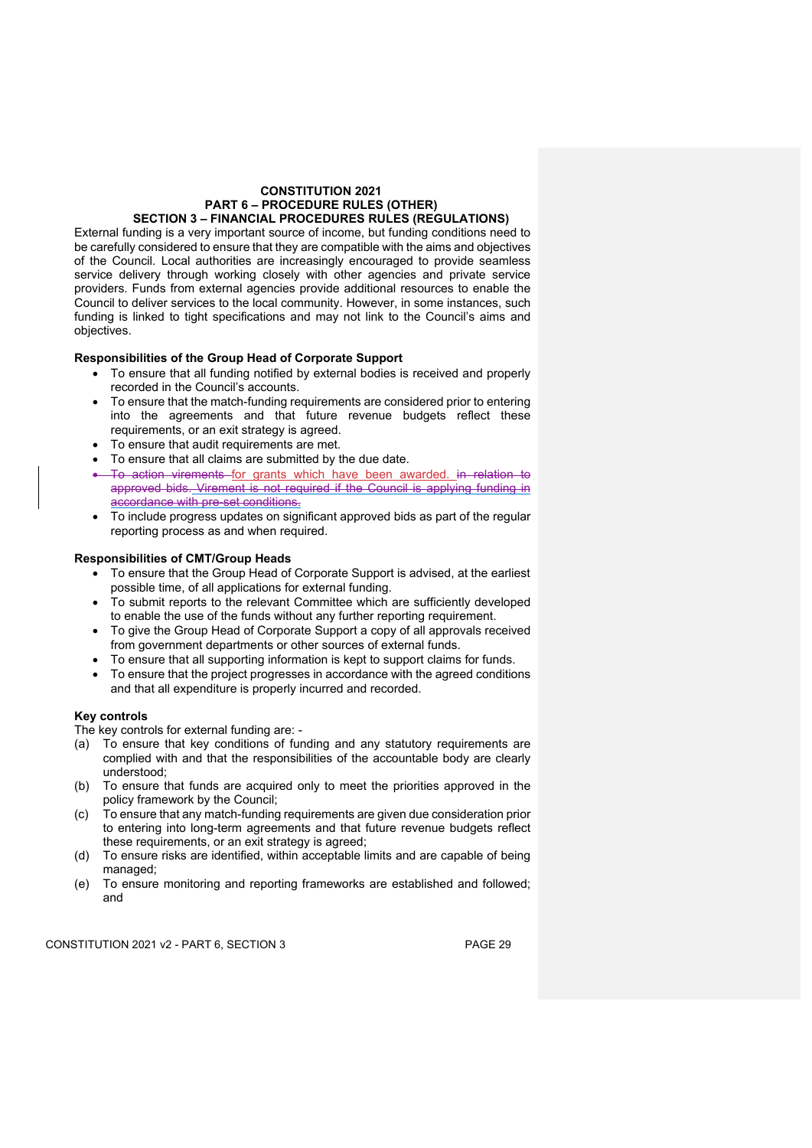External funding is a very important source of income, but funding conditions need to be carefully considered to ensure that they are compatible with the aims and objectives of the Council. Local authorities are increasingly encouraged to provide seamless service delivery through working closely with other agencies and private service providers. Funds from external agencies provide additional resources to enable the Council to deliver services to the local community. However, in some instances, such funding is linked to tight specifications and may not link to the Council's aims and objectives.

### **Responsibilities of the Group Head of Corporate Support**

- To ensure that all funding notified by external bodies is received and properly recorded in the Council's accounts.
- To ensure that the match-funding requirements are considered prior to entering into the agreements and that future revenue budgets reflect these requirements, or an exit strategy is agreed.
- To ensure that audit requirements are met.
- To ensure that all claims are submitted by the due date.
- To action virements for grants which have been awarded. in relation to approved bids. Virement is not required if the Council is applying funding in accordance with pre-set conditions.
- To include progress updates on significant approved bids as part of the regular reporting process as and when required.

### **Responsibilities of CMT/Group Heads**

- To ensure that the Group Head of Corporate Support is advised, at the earliest possible time, of all applications for external funding.
- To submit reports to the relevant Committee which are sufficiently developed to enable the use of the funds without any further reporting requirement.
- To give the Group Head of Corporate Support a copy of all approvals received from government departments or other sources of external funds.
- To ensure that all supporting information is kept to support claims for funds.
- To ensure that the project progresses in accordance with the agreed conditions and that all expenditure is properly incurred and recorded.

#### **Key controls**

- The key controls for external funding are: -
- (a) To ensure that key conditions of funding and any statutory requirements are complied with and that the responsibilities of the accountable body are clearly understood;
- (b) To ensure that funds are acquired only to meet the priorities approved in the policy framework by the Council;
- (c) To ensure that any match-funding requirements are given due consideration prior to entering into long-term agreements and that future revenue budgets reflect these requirements, or an exit strategy is agreed;
- (d) To ensure risks are identified, within acceptable limits and are capable of being managed;
- (e) To ensure monitoring and reporting frameworks are established and followed; and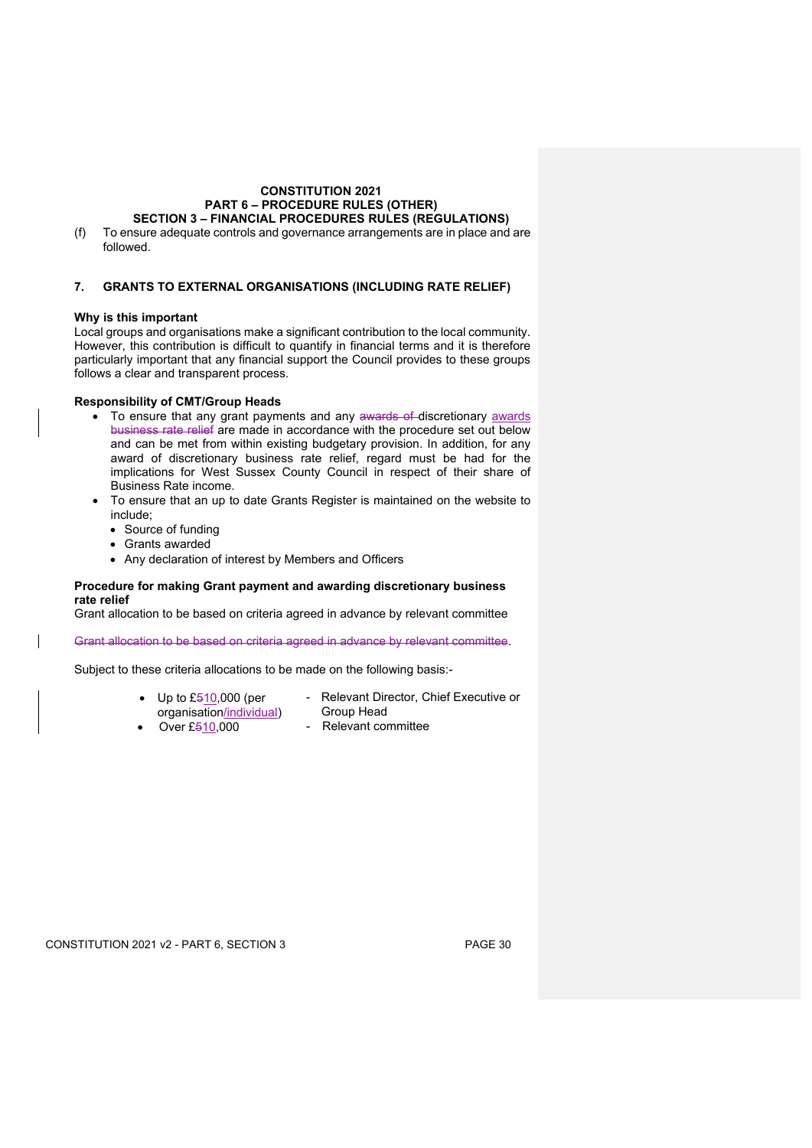(f) To ensure adequate controls and governance arrangements are in place and are followed.

### **7. GRANTS TO EXTERNAL ORGANISATIONS (INCLUDING RATE RELIEF)**

### **Why is this important**

Local groups and organisations make a significant contribution to the local community. However, this contribution is difficult to quantify in financial terms and it is therefore particularly important that any financial support the Council provides to these groups follows a clear and transparent process.

### **Responsibility of CMT/Group Heads**

- To ensure that any grant payments and any awards of discretionary awards business rate relief are made in accordance with the procedure set out below and can be met from within existing budgetary provision. In addition, for any award of discretionary business rate relief, regard must be had for the implications for West Sussex County Council in respect of their share of Business Rate income.
- To ensure that an up to date Grants Register is maintained on the website to include;
	- Source of funding
	- Grants awarded
	- Any declaration of interest by Members and Officers

#### **Procedure for making Grant payment and awarding discretionary business rate relief**

Grant allocation to be based on criteria agreed in advance by relevant committee

Grant allocation to be based on criteria agreed in advance by relevant committee.

Subject to these criteria allocations to be made on the following basis:-

- Up to £510,000 (per organisation/individual)
- Relevant Director, Chief Executive or Group Head
- - Over £510,000 Relevant committee